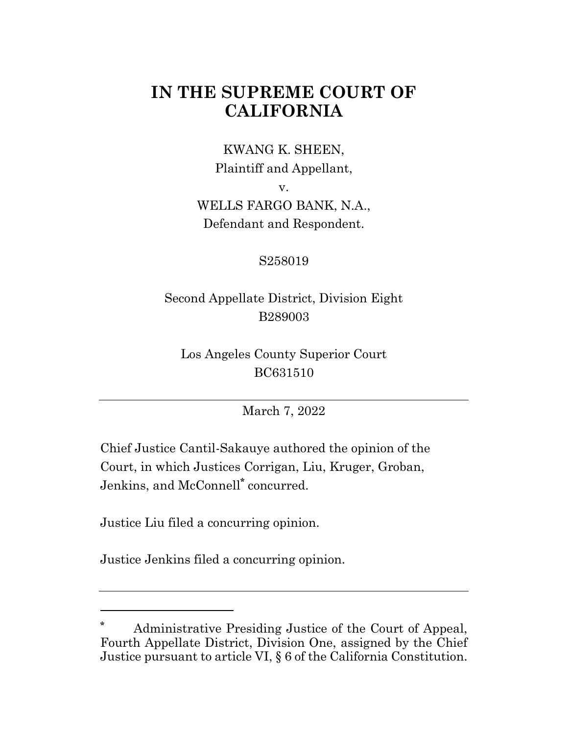# **IN THE SUPREME COURT OF CALIFORNIA**

KWANG K. SHEEN, Plaintiff and Appellant,

v.

WELLS FARGO BANK, N.A., Defendant and Respondent.

## S258019

## Second Appellate District, Division Eight B289003

Los Angeles County Superior Court BC631510

March 7, 2022

Chief Justice Cantil-Sakauye authored the opinion of the Court, in which Justices Corrigan, Liu, Kruger, Groban, Jenkins, and McConnell**\*** concurred.

Justice Liu filed a concurring opinion.

Justice Jenkins filed a concurring opinion.

**<sup>\*</sup>** Administrative Presiding Justice of the Court of Appeal, Fourth Appellate District, Division One, assigned by the Chief Justice pursuant to article VI, § 6 of the California Constitution.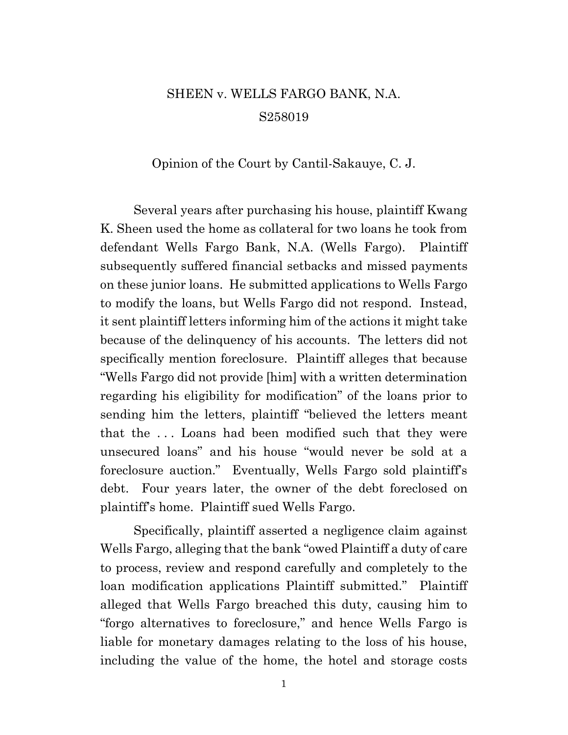## SHEEN v. WELLS FARGO BANK, N.A. S258019

#### Opinion of the Court by Cantil-Sakauye, C. J.

Several years after purchasing his house, plaintiff Kwang K. Sheen used the home as collateral for two loans he took from defendant Wells Fargo Bank, N.A. (Wells Fargo). Plaintiff subsequently suffered financial setbacks and missed payments on these junior loans. He submitted applications to Wells Fargo to modify the loans, but Wells Fargo did not respond. Instead, it sent plaintiff letters informing him of the actions it might take because of the delinquency of his accounts. The letters did not specifically mention foreclosure. Plaintiff alleges that because "Wells Fargo did not provide [him] with a written determination regarding his eligibility for modification" of the loans prior to sending him the letters, plaintiff "believed the letters meant that the . . . Loans had been modified such that they were unsecured loans" and his house "would never be sold at a foreclosure auction." Eventually, Wells Fargo sold plaintiff's debt. Four years later, the owner of the debt foreclosed on plaintiff's home. Plaintiff sued Wells Fargo.

Specifically, plaintiff asserted a negligence claim against Wells Fargo, alleging that the bank "owed Plaintiff a duty of care to process, review and respond carefully and completely to the loan modification applications Plaintiff submitted." Plaintiff alleged that Wells Fargo breached this duty, causing him to "forgo alternatives to foreclosure," and hence Wells Fargo is liable for monetary damages relating to the loss of his house, including the value of the home, the hotel and storage costs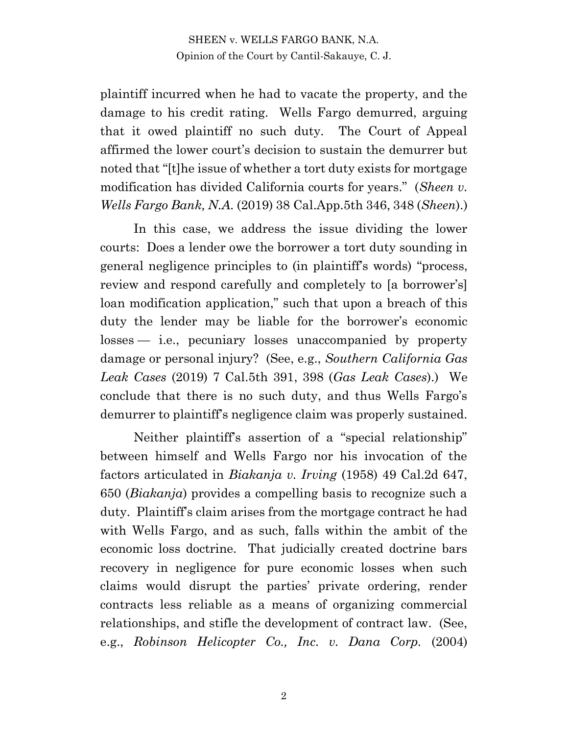plaintiff incurred when he had to vacate the property, and the damage to his credit rating. Wells Fargo demurred, arguing that it owed plaintiff no such duty. The Court of Appeal affirmed the lower court's decision to sustain the demurrer but noted that "[t]he issue of whether a tort duty exists for mortgage modification has divided California courts for years." (*Sheen v. Wells Fargo Bank, N.A.* (2019) 38 Cal.App.5th 346, 348 (*Sheen*).)

In this case, we address the issue dividing the lower courts: Does a lender owe the borrower a tort duty sounding in general negligence principles to (in plaintiff's words) "process, review and respond carefully and completely to [a borrower's] loan modification application," such that upon a breach of this duty the lender may be liable for the borrower's economic losses — i.e., pecuniary losses unaccompanied by property damage or personal injury? (See, e.g., *Southern California Gas Leak Cases* (2019) 7 Cal.5th 391, 398 (*Gas Leak Cases*).) We conclude that there is no such duty, and thus Wells Fargo's demurrer to plaintiff's negligence claim was properly sustained.

Neither plaintiff's assertion of a "special relationship" between himself and Wells Fargo nor his invocation of the factors articulated in *Biakanja v. Irving* (1958) 49 Cal.2d 647, 650 (*Biakanja*) provides a compelling basis to recognize such a duty. Plaintiff's claim arises from the mortgage contract he had with Wells Fargo, and as such, falls within the ambit of the economic loss doctrine. That judicially created doctrine bars recovery in negligence for pure economic losses when such claims would disrupt the parties' private ordering, render contracts less reliable as a means of organizing commercial relationships, and stifle the development of contract law. (See, e.g., *Robinson Helicopter Co., Inc. v. Dana Corp.* (2004)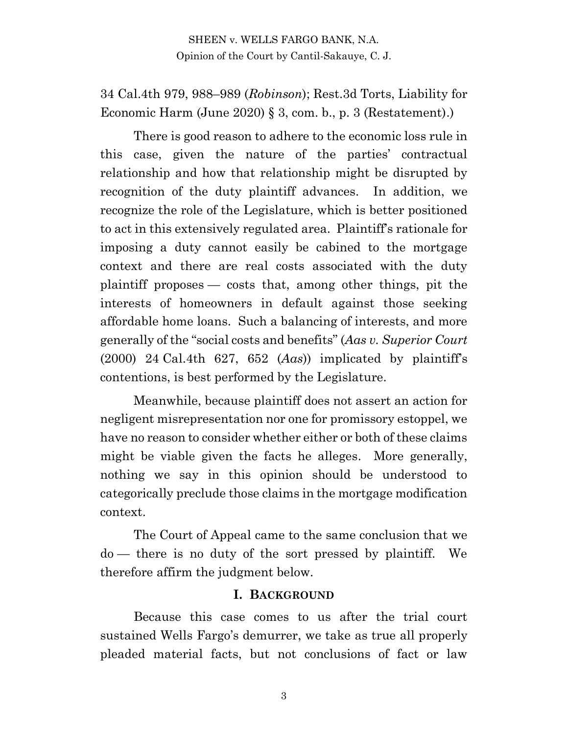34 Cal.4th 979, 988–989 (*Robinson*); Rest.3d Torts, Liability for Economic Harm (June 2020) § 3, com. b., p. 3 (Restatement).)

There is good reason to adhere to the economic loss rule in this case, given the nature of the parties' contractual relationship and how that relationship might be disrupted by recognition of the duty plaintiff advances. In addition, we recognize the role of the Legislature, which is better positioned to act in this extensively regulated area. Plaintiff's rationale for imposing a duty cannot easily be cabined to the mortgage context and there are real costs associated with the duty plaintiff proposes — costs that, among other things, pit the interests of homeowners in default against those seeking affordable home loans. Such a balancing of interests, and more generally of the "social costs and benefits" (*Aas v. Superior Court* (2000) 24 Cal.4th 627, 652 (*Aas*)) implicated by plaintiff's contentions, is best performed by the Legislature.

Meanwhile, because plaintiff does not assert an action for negligent misrepresentation nor one for promissory estoppel, we have no reason to consider whether either or both of these claims might be viable given the facts he alleges. More generally, nothing we say in this opinion should be understood to categorically preclude those claims in the mortgage modification context.

The Court of Appeal came to the same conclusion that we do — there is no duty of the sort pressed by plaintiff. We therefore affirm the judgment below.

#### **I. BACKGROUND**

Because this case comes to us after the trial court sustained Wells Fargo's demurrer, we take as true all properly pleaded material facts, but not conclusions of fact or law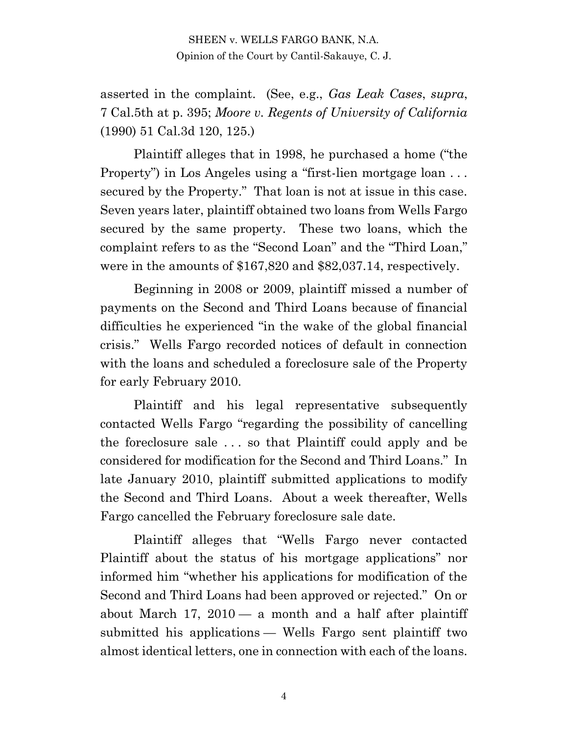asserted in the complaint. (See, e.g., *Gas Leak Cases*, *supra*, 7 Cal.5th at p. 395; *Moore v. Regents of University of California* (1990) 51 Cal.3d 120, 125.)

Plaintiff alleges that in 1998, he purchased a home ("the Property") in Los Angeles using a "first-lien mortgage loan . . . secured by the Property." That loan is not at issue in this case. Seven years later, plaintiff obtained two loans from Wells Fargo secured by the same property. These two loans, which the complaint refers to as the "Second Loan" and the "Third Loan," were in the amounts of \$167,820 and \$82,037.14, respectively.

Beginning in 2008 or 2009, plaintiff missed a number of payments on the Second and Third Loans because of financial difficulties he experienced "in the wake of the global financial crisis." Wells Fargo recorded notices of default in connection with the loans and scheduled a foreclosure sale of the Property for early February 2010.

Plaintiff and his legal representative subsequently contacted Wells Fargo "regarding the possibility of cancelling the foreclosure sale . . . so that Plaintiff could apply and be considered for modification for the Second and Third Loans." In late January 2010, plaintiff submitted applications to modify the Second and Third Loans. About a week thereafter, Wells Fargo cancelled the February foreclosure sale date.

Plaintiff alleges that "Wells Fargo never contacted Plaintiff about the status of his mortgage applications" nor informed him "whether his applications for modification of the Second and Third Loans had been approved or rejected." On or about March 17,  $2010 - a$  month and a half after plaintiff submitted his applications — Wells Fargo sent plaintiff two almost identical letters, one in connection with each of the loans.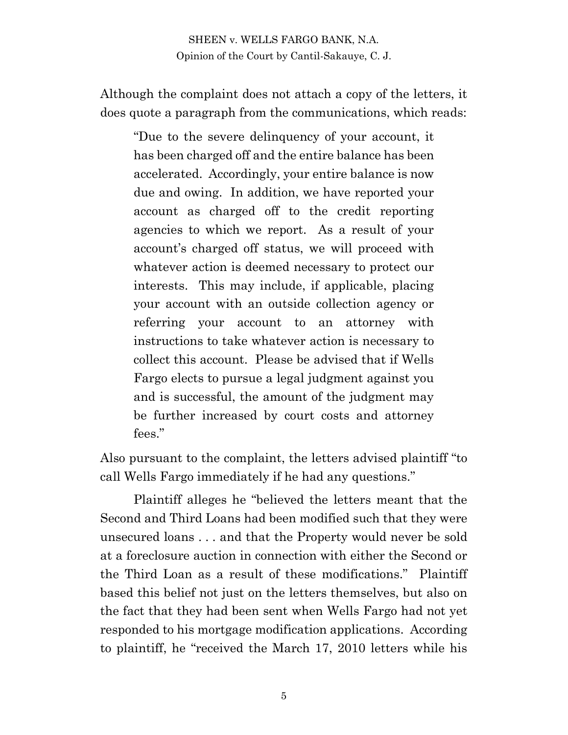Although the complaint does not attach a copy of the letters, it does quote a paragraph from the communications, which reads:

"Due to the severe delinquency of your account, it has been charged off and the entire balance has been accelerated. Accordingly, your entire balance is now due and owing. In addition, we have reported your account as charged off to the credit reporting agencies to which we report. As a result of your account's charged off status, we will proceed with whatever action is deemed necessary to protect our interests. This may include, if applicable, placing your account with an outside collection agency or referring your account to an attorney with instructions to take whatever action is necessary to collect this account. Please be advised that if Wells Fargo elects to pursue a legal judgment against you and is successful, the amount of the judgment may be further increased by court costs and attorney fees."

Also pursuant to the complaint, the letters advised plaintiff "to call Wells Fargo immediately if he had any questions."

Plaintiff alleges he "believed the letters meant that the Second and Third Loans had been modified such that they were unsecured loans . . . and that the Property would never be sold at a foreclosure auction in connection with either the Second or the Third Loan as a result of these modifications." Plaintiff based this belief not just on the letters themselves, but also on the fact that they had been sent when Wells Fargo had not yet responded to his mortgage modification applications. According to plaintiff, he "received the March 17, 2010 letters while his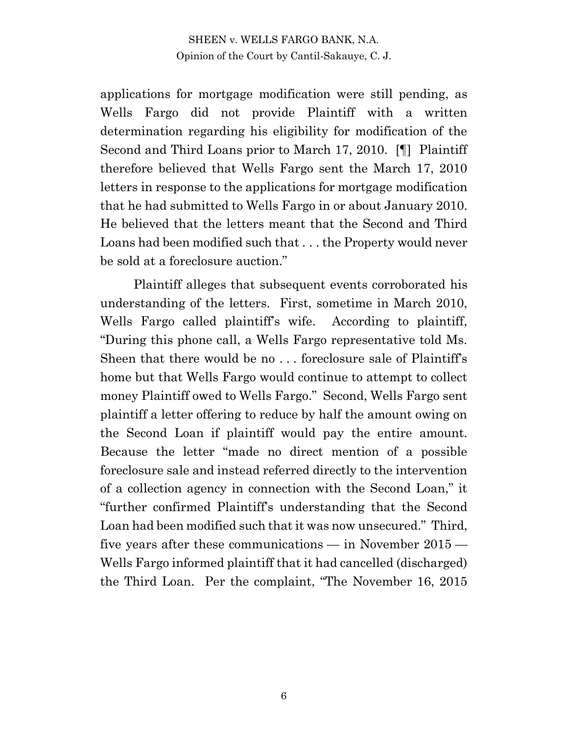applications for mortgage modification were still pending, as Wells Fargo did not provide Plaintiff with a written determination regarding his eligibility for modification of the Second and Third Loans prior to March 17, 2010. [¶] Plaintiff therefore believed that Wells Fargo sent the March 17, 2010 letters in response to the applications for mortgage modification that he had submitted to Wells Fargo in or about January 2010. He believed that the letters meant that the Second and Third Loans had been modified such that . . . the Property would never be sold at a foreclosure auction."

Plaintiff alleges that subsequent events corroborated his understanding of the letters. First, sometime in March 2010, Wells Fargo called plaintiff's wife. According to plaintiff, "During this phone call, a Wells Fargo representative told Ms. Sheen that there would be no . . . foreclosure sale of Plaintiff's home but that Wells Fargo would continue to attempt to collect money Plaintiff owed to Wells Fargo." Second, Wells Fargo sent plaintiff a letter offering to reduce by half the amount owing on the Second Loan if plaintiff would pay the entire amount. Because the letter "made no direct mention of a possible foreclosure sale and instead referred directly to the intervention of a collection agency in connection with the Second Loan," it "further confirmed Plaintiff's understanding that the Second Loan had been modified such that it was now unsecured." Third, five years after these communications — in November 2015 — Wells Fargo informed plaintiff that it had cancelled (discharged) the Third Loan. Per the complaint, "The November 16, 2015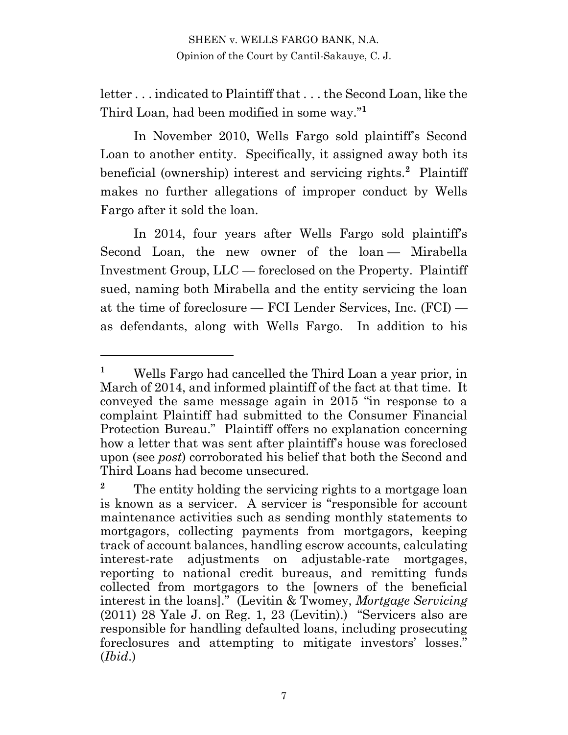letter . . . indicated to Plaintiff that . . . the Second Loan, like the Third Loan, had been modified in some way."**<sup>1</sup>**

In November 2010, Wells Fargo sold plaintiff's Second Loan to another entity. Specifically, it assigned away both its beneficial (ownership) interest and servicing rights.**<sup>2</sup>** Plaintiff makes no further allegations of improper conduct by Wells Fargo after it sold the loan.

In 2014, four years after Wells Fargo sold plaintiff's Second Loan, the new owner of the loan — Mirabella Investment Group, LLC — foreclosed on the Property. Plaintiff sued, naming both Mirabella and the entity servicing the loan at the time of foreclosure — FCI Lender Services, Inc. (FCI) as defendants, along with Wells Fargo. In addition to his

**<sup>1</sup>** Wells Fargo had cancelled the Third Loan a year prior, in March of 2014, and informed plaintiff of the fact at that time. It conveyed the same message again in 2015 "in response to a complaint Plaintiff had submitted to the Consumer Financial Protection Bureau." Plaintiff offers no explanation concerning how a letter that was sent after plaintiff's house was foreclosed upon (see *post*) corroborated his belief that both the Second and Third Loans had become unsecured.

<sup>&</sup>lt;sup>2</sup> The entity holding the servicing rights to a mortgage loan is known as a servicer. A servicer is "responsible for account maintenance activities such as sending monthly statements to mortgagors, collecting payments from mortgagors, keeping track of account balances, handling escrow accounts, calculating interest-rate adjustments on adjustable-rate mortgages, reporting to national credit bureaus, and remitting funds collected from mortgagors to the [owners of the beneficial interest in the loans]." (Levitin & Twomey, *Mortgage Servicing* (2011) 28 Yale J. on Reg. 1, 23 (Levitin).) "Servicers also are responsible for handling defaulted loans, including prosecuting foreclosures and attempting to mitigate investors' losses." (*Ibid*.)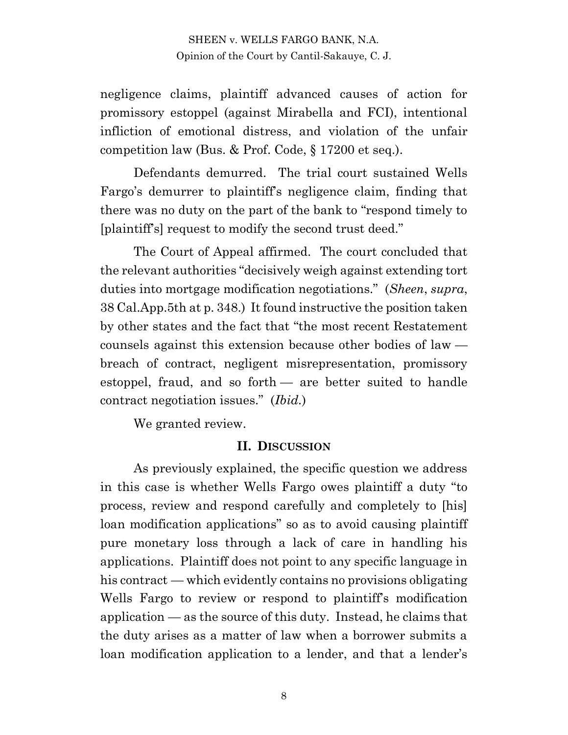negligence claims, plaintiff advanced causes of action for promissory estoppel (against Mirabella and FCI), intentional infliction of emotional distress, and violation of the unfair competition law (Bus. & Prof. Code, § 17200 et seq.).

Defendants demurred. The trial court sustained Wells Fargo's demurrer to plaintiff's negligence claim, finding that there was no duty on the part of the bank to "respond timely to [plaintiff's] request to modify the second trust deed."

The Court of Appeal affirmed. The court concluded that the relevant authorities "decisively weigh against extending tort duties into mortgage modification negotiations." (*Sheen*, *supra*, 38 Cal.App.5th at p. 348.) It found instructive the position taken by other states and the fact that "the most recent Restatement counsels against this extension because other bodies of law breach of contract, negligent misrepresentation, promissory estoppel, fraud, and so forth — are better suited to handle contract negotiation issues." (*Ibid.*)

We granted review.

#### **II. DISCUSSION**

As previously explained, the specific question we address in this case is whether Wells Fargo owes plaintiff a duty "to process, review and respond carefully and completely to [his] loan modification applications" so as to avoid causing plaintiff pure monetary loss through a lack of care in handling his applications. Plaintiff does not point to any specific language in his contract — which evidently contains no provisions obligating Wells Fargo to review or respond to plaintiff's modification application — as the source of this duty. Instead, he claims that the duty arises as a matter of law when a borrower submits a loan modification application to a lender, and that a lender's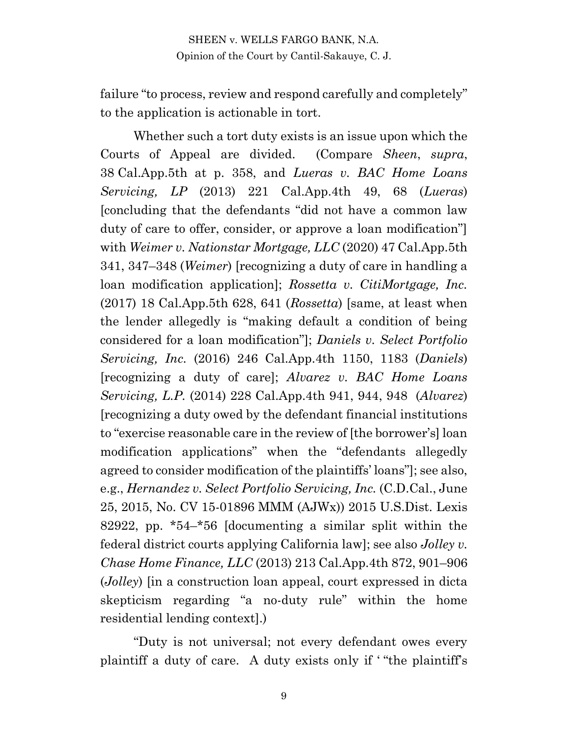failure "to process, review and respond carefully and completely" to the application is actionable in tort.

Whether such a tort duty exists is an issue upon which the Courts of Appeal are divided. (Compare *Sheen*, *supra*, 38 Cal.App.5th at p. 358, and *Lueras v. BAC Home Loans Servicing, LP* (2013) 221 Cal.App.4th 49, 68 (*Lueras*) [concluding that the defendants "did not have a common law duty of care to offer, consider, or approve a loan modification"] with *Weimer v. Nationstar Mortgage, LLC* (2020) 47 Cal.App.5th 341, 347–348 (*Weimer*) [recognizing a duty of care in handling a loan modification application]; *Rossetta v. CitiMortgage, Inc.* (2017) 18 Cal.App.5th 628, 641 (*Rossetta*) [same, at least when the lender allegedly is "making default a condition of being considered for a loan modification"]; *Daniels v. Select Portfolio Servicing, Inc.* (2016) 246 Cal.App.4th 1150, 1183 (*Daniels*) [recognizing a duty of care]; *Alvarez v. BAC Home Loans Servicing, L.P.* (2014) 228 Cal.App.4th 941, 944, 948 (*Alvarez*) [recognizing a duty owed by the defendant financial institutions to "exercise reasonable care in the review of [the borrower's] loan modification applications" when the "defendants allegedly agreed to consider modification of the plaintiffs' loans"]; see also, e.g., *Hernandez v. Select Portfolio Servicing, Inc.* (C.D.Cal., June 25, 2015, No. CV 15-01896 MMM (AJWx)) 2015 U.S.Dist. Lexis 82922, pp. \*54–\*56 [documenting a similar split within the federal district courts applying California law]; see also *Jolley v. Chase Home Finance, LLC* (2013) 213 Cal.App.4th 872, 901–906 (*Jolley*) [in a construction loan appeal, court expressed in dicta skepticism regarding "a no-duty rule" within the home residential lending context].)

"Duty is not universal; not every defendant owes every plaintiff a duty of care. A duty exists only if ' "the plaintiff's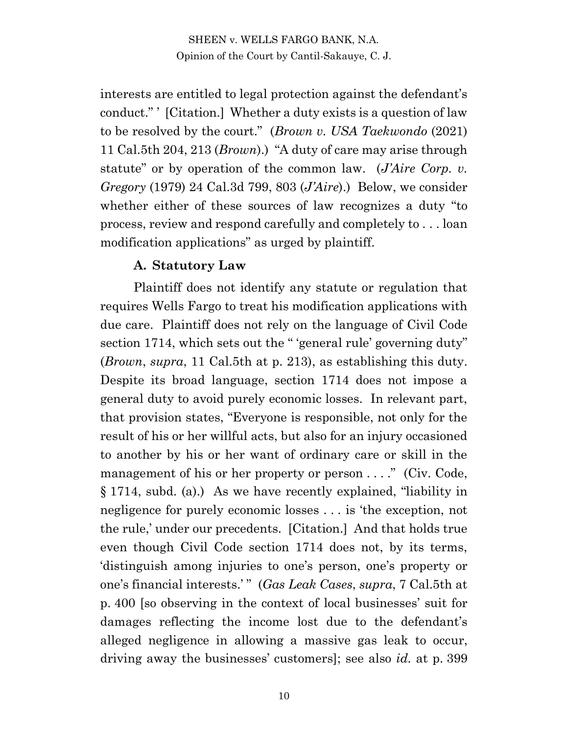interests are entitled to legal protection against the defendant's conduct." ' [Citation.] Whether a duty exists is a question of law to be resolved by the court." (*Brown v. USA Taekwondo* (2021) 11 Cal.5th 204, 213 (*Brown*).) "A duty of care may arise through statute" or by operation of the common law. (*J'Aire Corp. v. Gregory* (1979) 24 Cal.3d 799, 803 (*J'Aire*).) Below, we consider whether either of these sources of law recognizes a duty "to process, review and respond carefully and completely to . . . loan modification applications" as urged by plaintiff.

#### **A. Statutory Law**

Plaintiff does not identify any statute or regulation that requires Wells Fargo to treat his modification applications with due care. Plaintiff does not rely on the language of Civil Code section 1714, which sets out the "'general rule' governing duty" (*Brown*, *supra*, 11 Cal.5th at p. 213), as establishing this duty. Despite its broad language, section 1714 does not impose a general duty to avoid purely economic losses. In relevant part, that provision states, "Everyone is responsible, not only for the result of his or her willful acts, but also for an injury occasioned to another by his or her want of ordinary care or skill in the management of his or her property or person . . . ." (Civ. Code, § 1714, subd. (a).) As we have recently explained, "liability in negligence for purely economic losses . . . is 'the exception, not the rule,' under our precedents. [Citation.] And that holds true even though Civil Code section 1714 does not, by its terms, 'distinguish among injuries to one's person, one's property or one's financial interests.' " (*Gas Leak Cases*, *supra*, 7 Cal.5th at p. 400 [so observing in the context of local businesses' suit for damages reflecting the income lost due to the defendant's alleged negligence in allowing a massive gas leak to occur, driving away the businesses' customers]; see also *id.* at p. 399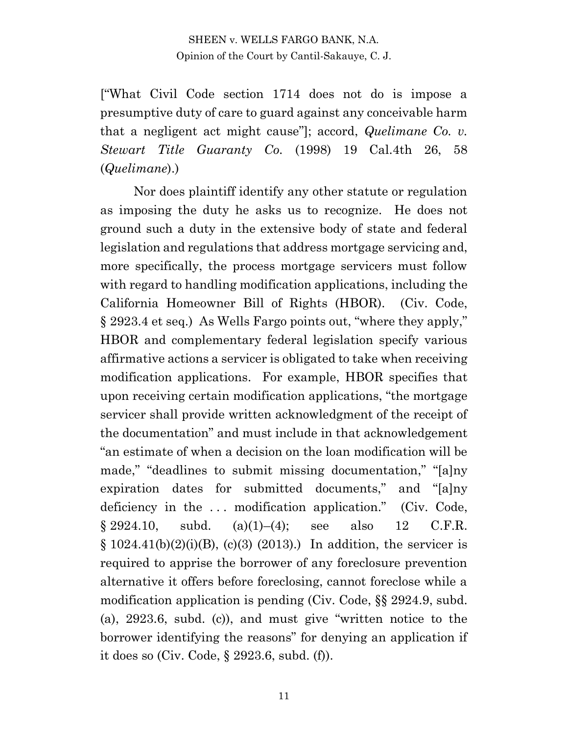["What Civil Code section 1714 does not do is impose a presumptive duty of care to guard against any conceivable harm that a negligent act might cause"]; accord, *Quelimane Co. v. Stewart Title Guaranty Co.* (1998) 19 Cal.4th 26, 58 (*Quelimane*).)

Nor does plaintiff identify any other statute or regulation as imposing the duty he asks us to recognize. He does not ground such a duty in the extensive body of state and federal legislation and regulations that address mortgage servicing and, more specifically, the process mortgage servicers must follow with regard to handling modification applications, including the California Homeowner Bill of Rights (HBOR). (Civ. Code, § 2923.4 et seq.) As Wells Fargo points out, "where they apply," HBOR and complementary federal legislation specify various affirmative actions a servicer is obligated to take when receiving modification applications. For example, HBOR specifies that upon receiving certain modification applications, "the mortgage servicer shall provide written acknowledgment of the receipt of the documentation" and must include in that acknowledgement "an estimate of when a decision on the loan modification will be made," "deadlines to submit missing documentation," "[a]ny expiration dates for submitted documents," and "[a]ny deficiency in the ... modification application." (Civ. Code,  $§ 2924.10, \quad \text{subd.} \quad \text{(a)}(1)–(4); \quad \text{see} \quad \text{also} \quad 12 \quad \text{C.F.R.}$  $§ 1024.41(b)(2)(i)(B), (c)(3)(2013).)$  In addition, the servicer is required to apprise the borrower of any foreclosure prevention alternative it offers before foreclosing, cannot foreclose while a modification application is pending (Civ. Code, §§ 2924.9, subd. (a), 2923.6, subd. (c)), and must give "written notice to the borrower identifying the reasons" for denying an application if it does so (Civ. Code, § 2923.6, subd. (f)).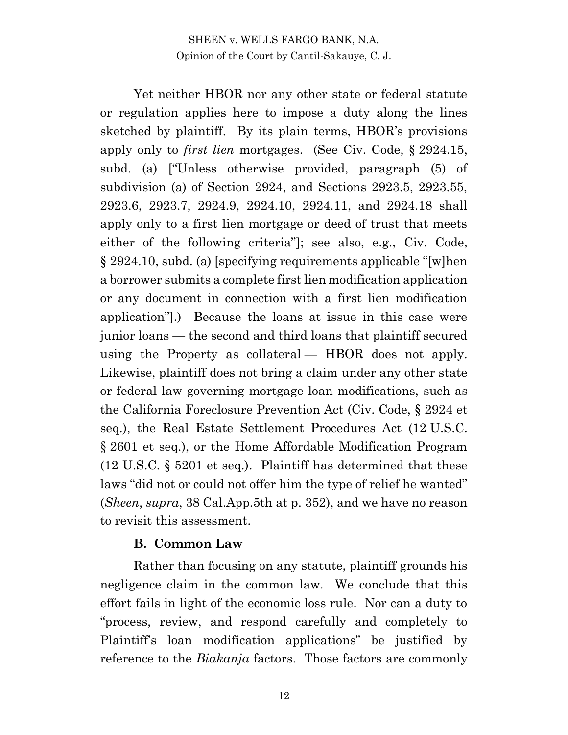Yet neither HBOR nor any other state or federal statute or regulation applies here to impose a duty along the lines sketched by plaintiff. By its plain terms, HBOR's provisions apply only to *first lien* mortgages. (See Civ. Code, § 2924.15, subd. (a) ["Unless otherwise provided, paragraph (5) of subdivision (a) of Section 2924, and Sections 2923.5, 2923.55, 2923.6, 2923.7, 2924.9, 2924.10, 2924.11, and 2924.18 shall apply only to a first lien mortgage or deed of trust that meets either of the following criteria"]; see also, e.g., Civ. Code, § 2924.10, subd. (a) [specifying requirements applicable "[w]hen a borrower submits a complete first lien modification application or any document in connection with a first lien modification application"].) Because the loans at issue in this case were junior loans — the second and third loans that plaintiff secured using the Property as collateral — HBOR does not apply. Likewise, plaintiff does not bring a claim under any other state or federal law governing mortgage loan modifications, such as the California Foreclosure Prevention Act (Civ. Code, § 2924 et seq.), the Real Estate Settlement Procedures Act (12 U.S.C. § 2601 et seq.), or the Home Affordable Modification Program (12 U.S.C. § 5201 et seq.). Plaintiff has determined that these laws "did not or could not offer him the type of relief he wanted" (*Sheen*, *supra*, 38 Cal.App.5th at p. 352), and we have no reason to revisit this assessment.

#### **B. Common Law**

Rather than focusing on any statute, plaintiff grounds his negligence claim in the common law. We conclude that this effort fails in light of the economic loss rule. Nor can a duty to "process, review, and respond carefully and completely to Plaintiff's loan modification applications" be justified by reference to the *Biakanja* factors. Those factors are commonly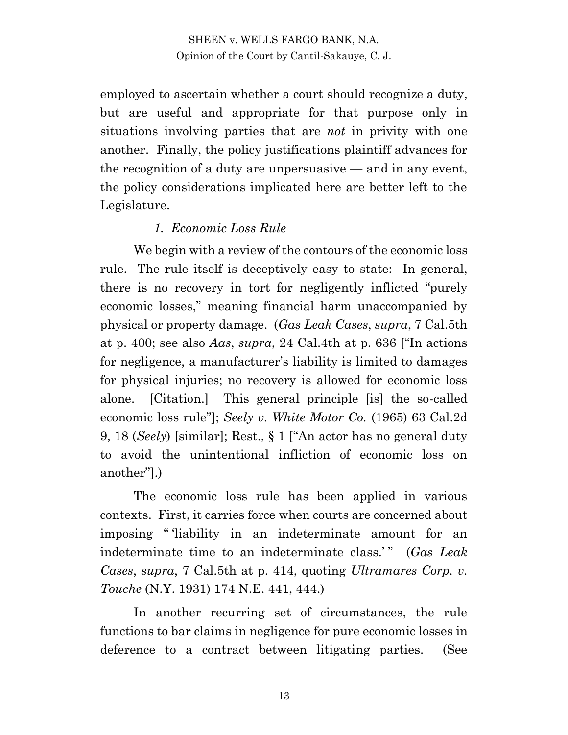employed to ascertain whether a court should recognize a duty, but are useful and appropriate for that purpose only in situations involving parties that are *not* in privity with one another. Finally, the policy justifications plaintiff advances for the recognition of a duty are unpersuasive — and in any event, the policy considerations implicated here are better left to the Legislature.

## *1. Economic Loss Rule*

We begin with a review of the contours of the economic loss rule. The rule itself is deceptively easy to state: In general, there is no recovery in tort for negligently inflicted "purely economic losses," meaning financial harm unaccompanied by physical or property damage. (*Gas Leak Cases*, *supra*, 7 Cal.5th at p. 400; see also *Aas*, *supra*, 24 Cal.4th at p. 636 ["In actions for negligence, a manufacturer's liability is limited to damages for physical injuries; no recovery is allowed for economic loss alone. [Citation.] This general principle [is] the so-called economic loss rule"]; *Seely v. White Motor Co.* (1965) 63 Cal.2d 9, 18 (*Seely*) [similar]; Rest., § 1 ["An actor has no general duty to avoid the unintentional infliction of economic loss on another"].)

The economic loss rule has been applied in various contexts. First, it carries force when courts are concerned about imposing " 'liability in an indeterminate amount for an indeterminate time to an indeterminate class.'" (*Gas Leak Cases*, *supra*, 7 Cal.5th at p. 414, quoting *Ultramares Corp. v. Touche* (N.Y. 1931) 174 N.E. 441, 444.)

In another recurring set of circumstances, the rule functions to bar claims in negligence for pure economic losses in deference to a contract between litigating parties. (See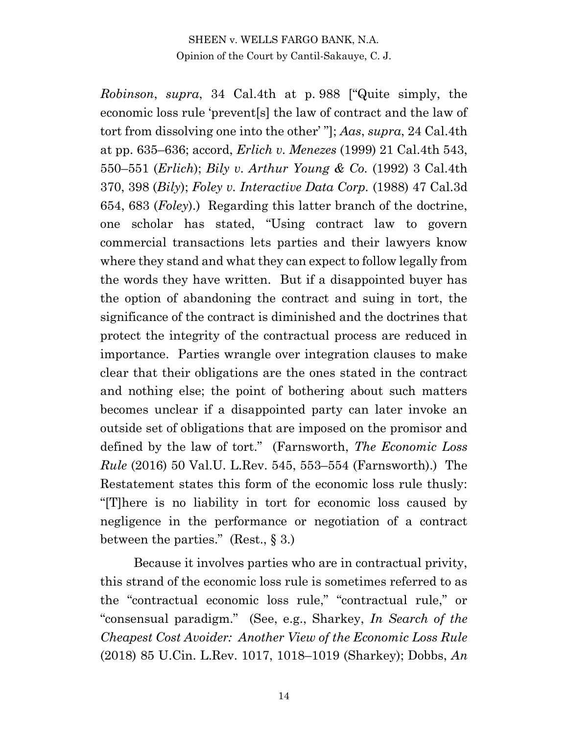*Robinson*, *supra*, 34 Cal.4th at p. 988 ["Quite simply, the economic loss rule 'prevent[s] the law of contract and the law of tort from dissolving one into the other' "]; *Aas*, *supra*, 24 Cal.4th at pp. 635–636; accord, *Erlich v. Menezes* (1999) 21 Cal.4th 543, 550–551 (*Erlich*); *Bily v. Arthur Young & Co.* (1992) 3 Cal.4th 370, 398 (*Bily*); *Foley v. Interactive Data Corp.* (1988) 47 Cal.3d 654, 683 (*Foley*).) Regarding this latter branch of the doctrine, one scholar has stated, "Using contract law to govern commercial transactions lets parties and their lawyers know where they stand and what they can expect to follow legally from the words they have written. But if a disappointed buyer has the option of abandoning the contract and suing in tort, the significance of the contract is diminished and the doctrines that protect the integrity of the contractual process are reduced in importance. Parties wrangle over integration clauses to make clear that their obligations are the ones stated in the contract and nothing else; the point of bothering about such matters becomes unclear if a disappointed party can later invoke an outside set of obligations that are imposed on the promisor and defined by the law of tort." (Farnsworth, *The Economic Loss Rule* (2016) 50 Val.U. L.Rev. 545, 553–554 (Farnsworth).) The Restatement states this form of the economic loss rule thusly: "[T]here is no liability in tort for economic loss caused by negligence in the performance or negotiation of a contract between the parties." (Rest.,  $\S 3$ .)

Because it involves parties who are in contractual privity, this strand of the economic loss rule is sometimes referred to as the "contractual economic loss rule," "contractual rule," or "consensual paradigm." (See, e.g., Sharkey, *In Search of the Cheapest Cost Avoider: Another View of the Economic Loss Rule* (2018) 85 U.Cin. L.Rev. 1017, 1018–1019 (Sharkey); Dobbs, *An*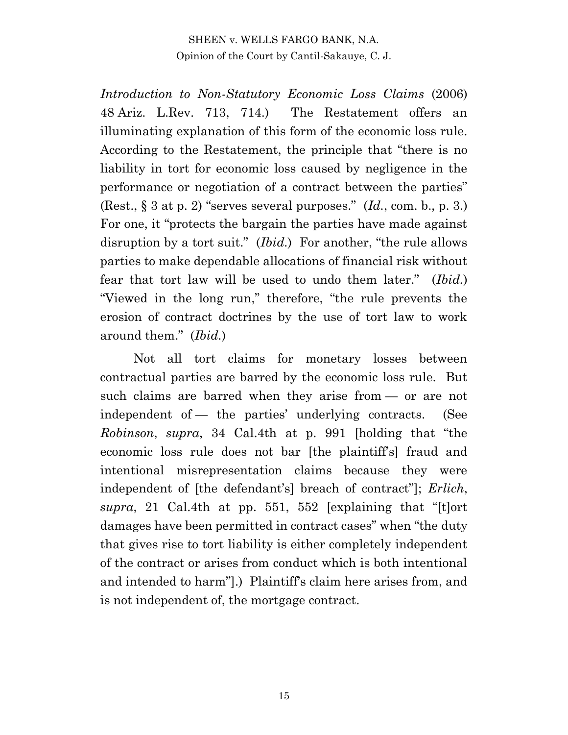*Introduction to Non-Statutory Economic Loss Claims* (2006) 48 Ariz. L.Rev. 713, 714.) The Restatement offers an illuminating explanation of this form of the economic loss rule. According to the Restatement, the principle that "there is no liability in tort for economic loss caused by negligence in the performance or negotiation of a contract between the parties" (Rest., § 3 at p. 2) "serves several purposes." (*Id.*, com. b., p. 3.) For one, it "protects the bargain the parties have made against disruption by a tort suit." (*Ibid.*) For another, "the rule allows parties to make dependable allocations of financial risk without fear that tort law will be used to undo them later." (*Ibid.*) "Viewed in the long run," therefore, "the rule prevents the erosion of contract doctrines by the use of tort law to work around them." (*Ibid.*)

Not all tort claims for monetary losses between contractual parties are barred by the economic loss rule. But such claims are barred when they arise from — or are not independent of — the parties' underlying contracts. (See *Robinson*, *supra*, 34 Cal.4th at p. 991 [holding that "the economic loss rule does not bar [the plaintiff's] fraud and intentional misrepresentation claims because they were independent of [the defendant's] breach of contract"]; *Erlich*, *supra*, 21 Cal.4th at pp. 551, 552 [explaining that "[t]ort damages have been permitted in contract cases" when "the duty that gives rise to tort liability is either completely independent of the contract or arises from conduct which is both intentional and intended to harm"].) Plaintiff's claim here arises from, and is not independent of, the mortgage contract.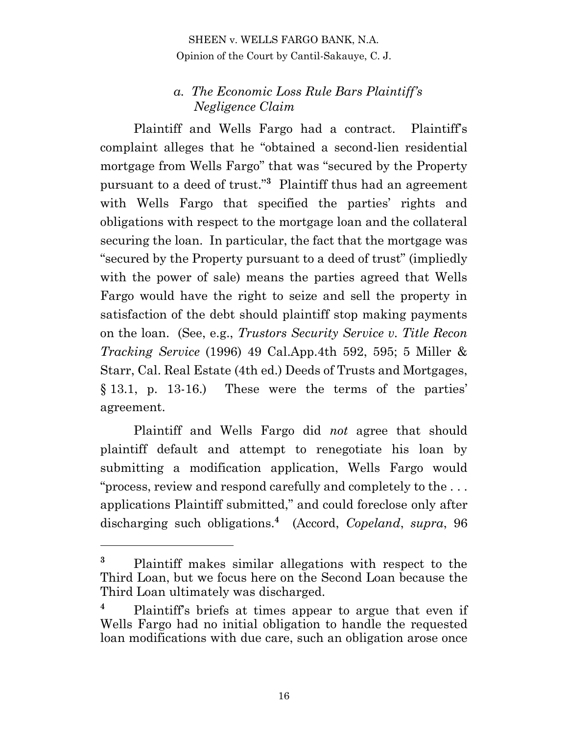## *a. The Economic Loss Rule Bars Plaintiff's Negligence Claim*

Plaintiff and Wells Fargo had a contract. Plaintiff's complaint alleges that he "obtained a second-lien residential mortgage from Wells Fargo" that was "secured by the Property pursuant to a deed of trust."**<sup>3</sup>** Plaintiff thus had an agreement with Wells Fargo that specified the parties' rights and obligations with respect to the mortgage loan and the collateral securing the loan. In particular, the fact that the mortgage was "secured by the Property pursuant to a deed of trust" (impliedly with the power of sale) means the parties agreed that Wells Fargo would have the right to seize and sell the property in satisfaction of the debt should plaintiff stop making payments on the loan. (See, e.g., *Trustors Security Service v. Title Recon Tracking Service* (1996) 49 Cal.App.4th 592, 595; 5 Miller & Starr, Cal. Real Estate (4th ed.) Deeds of Trusts and Mortgages, § 13.1, p. 13-16.) These were the terms of the parties' agreement.

Plaintiff and Wells Fargo did *not* agree that should plaintiff default and attempt to renegotiate his loan by submitting a modification application, Wells Fargo would "process, review and respond carefully and completely to the . . . applications Plaintiff submitted," and could foreclose only after discharging such obligations.**<sup>4</sup>** (Accord, *Copeland*, *supra*, 96

**<sup>3</sup>** Plaintiff makes similar allegations with respect to the Third Loan, but we focus here on the Second Loan because the Third Loan ultimately was discharged.

**<sup>4</sup>** Plaintiff's briefs at times appear to argue that even if Wells Fargo had no initial obligation to handle the requested loan modifications with due care, such an obligation arose once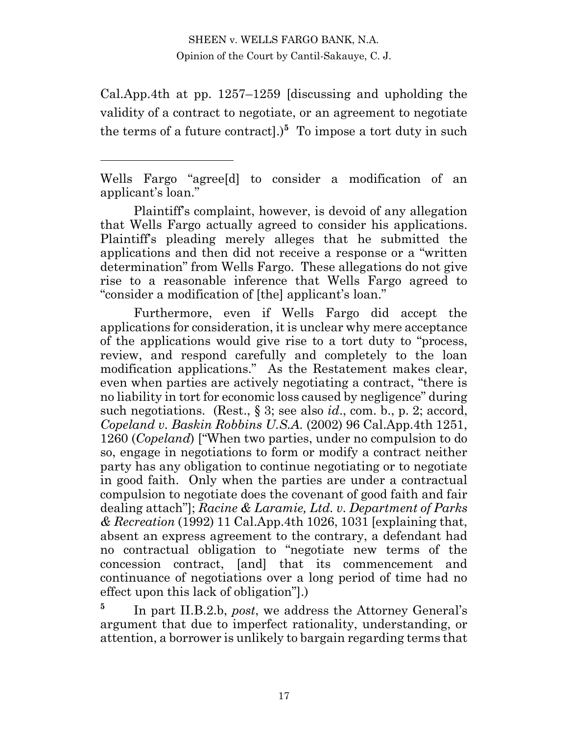Cal.App.4th at pp. 1257–1259 [discussing and upholding the validity of a contract to negotiate, or an agreement to negotiate the terms of a future contract].)<sup>5</sup> To impose a tort duty in such

Plaintiff's complaint, however, is devoid of any allegation that Wells Fargo actually agreed to consider his applications. Plaintiff's pleading merely alleges that he submitted the applications and then did not receive a response or a "written determination" from Wells Fargo. These allegations do not give rise to a reasonable inference that Wells Fargo agreed to "consider a modification of [the] applicant's loan."

Furthermore, even if Wells Fargo did accept the applications for consideration, it is unclear why mere acceptance of the applications would give rise to a tort duty to "process, review, and respond carefully and completely to the loan modification applications." As the Restatement makes clear, even when parties are actively negotiating a contract, "there is no liability in tort for economic loss caused by negligence" during such negotiations. (Rest., § 3; see also *id*., com. b., p. 2; accord, *Copeland v. Baskin Robbins U.S.A.* (2002) 96 Cal.App.4th 1251, 1260 (*Copeland*) ["When two parties, under no compulsion to do so, engage in negotiations to form or modify a contract neither party has any obligation to continue negotiating or to negotiate in good faith. Only when the parties are under a contractual compulsion to negotiate does the covenant of good faith and fair dealing attach"]; *Racine & Laramie, Ltd. v. Department of Parks & Recreation* (1992) 11 Cal.App.4th 1026, 1031 [explaining that, absent an express agreement to the contrary, a defendant had no contractual obligation to "negotiate new terms of the concession contract, [and] that its commencement and continuance of negotiations over a long period of time had no effect upon this lack of obligation"].)

**5** In part II.B.2.b, *post*, we address the Attorney General's argument that due to imperfect rationality, understanding, or attention, a borrower is unlikely to bargain regarding terms that

Wells Fargo "agree[d] to consider a modification of an applicant's loan."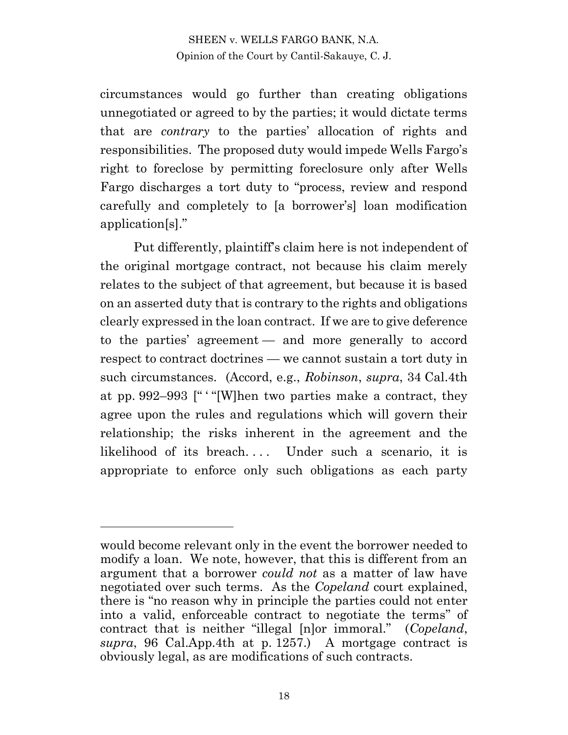circumstances would go further than creating obligations unnegotiated or agreed to by the parties; it would dictate terms that are *contrary* to the parties' allocation of rights and responsibilities. The proposed duty would impede Wells Fargo's right to foreclose by permitting foreclosure only after Wells Fargo discharges a tort duty to "process, review and respond carefully and completely to [a borrower's] loan modification application[s]."

Put differently, plaintiff's claim here is not independent of the original mortgage contract, not because his claim merely relates to the subject of that agreement, but because it is based on an asserted duty that is contrary to the rights and obligations clearly expressed in the loan contract. If we are to give deference to the parties' agreement — and more generally to accord respect to contract doctrines — we cannot sustain a tort duty in such circumstances. (Accord, e.g., *Robinson*, *supra*, 34 Cal.4th at pp. 992–993 [" ' "[W]hen two parties make a contract, they agree upon the rules and regulations which will govern their relationship; the risks inherent in the agreement and the likelihood of its breach.... Under such a scenario, it is appropriate to enforce only such obligations as each party

would become relevant only in the event the borrower needed to modify a loan. We note, however, that this is different from an argument that a borrower *could not* as a matter of law have negotiated over such terms. As the *Copeland* court explained, there is "no reason why in principle the parties could not enter into a valid, enforceable contract to negotiate the terms" of contract that is neither "illegal [n]or immoral." (*Copeland*, *supra*, 96 Cal.App.4th at p. 1257.) A mortgage contract is obviously legal, as are modifications of such contracts.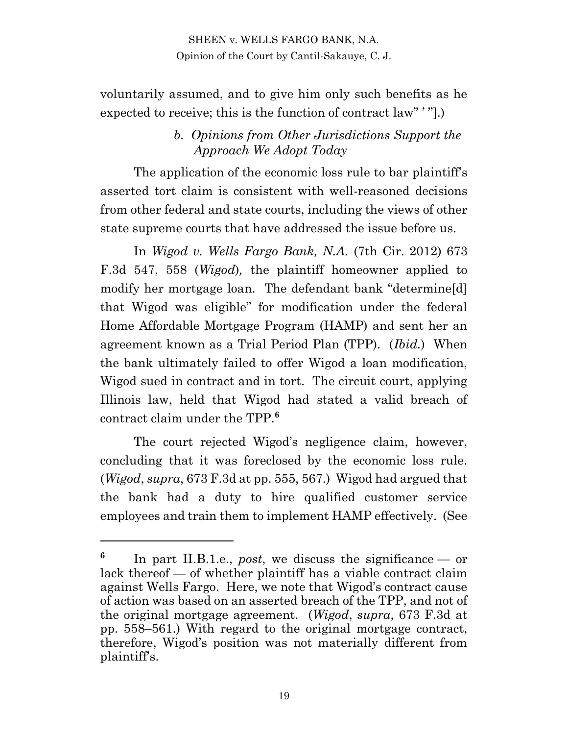voluntarily assumed, and to give him only such benefits as he expected to receive; this is the function of contract law" ' "].)

## *b. Opinions from Other Jurisdictions Support the Approach We Adopt Today*

The application of the economic loss rule to bar plaintiff's asserted tort claim is consistent with well-reasoned decisions from other federal and state courts, including the views of other state supreme courts that have addressed the issue before us.

In *Wigod v. Wells Fargo Bank, N.A.* (7th Cir. 2012) 673 F.3d 547, 558 (*Wigod*)*,* the plaintiff homeowner applied to modify her mortgage loan. The defendant bank "determine[d] that Wigod was eligible" for modification under the federal Home Affordable Mortgage Program (HAMP) and sent her an agreement known as a Trial Period Plan (TPP). (*Ibid.*) When the bank ultimately failed to offer Wigod a loan modification, Wigod sued in contract and in tort. The circuit court, applying Illinois law, held that Wigod had stated a valid breach of contract claim under the TPP.**<sup>6</sup>**

The court rejected Wigod's negligence claim, however, concluding that it was foreclosed by the economic loss rule. (*Wigod*, *supra*, 673 F.3d at pp. 555, 567.) Wigod had argued that the bank had a duty to hire qualified customer service employees and train them to implement HAMP effectively. (See

**<sup>6</sup>** In part II.B.1.e., *post*, we discuss the significance — or lack thereof — of whether plaintiff has a viable contract claim against Wells Fargo. Here, we note that Wigod's contract cause of action was based on an asserted breach of the TPP, and not of the original mortgage agreement. (*Wigod*, *supra*, 673 F.3d at pp. 558–561.) With regard to the original mortgage contract, therefore, Wigod's position was not materially different from plaintiff's.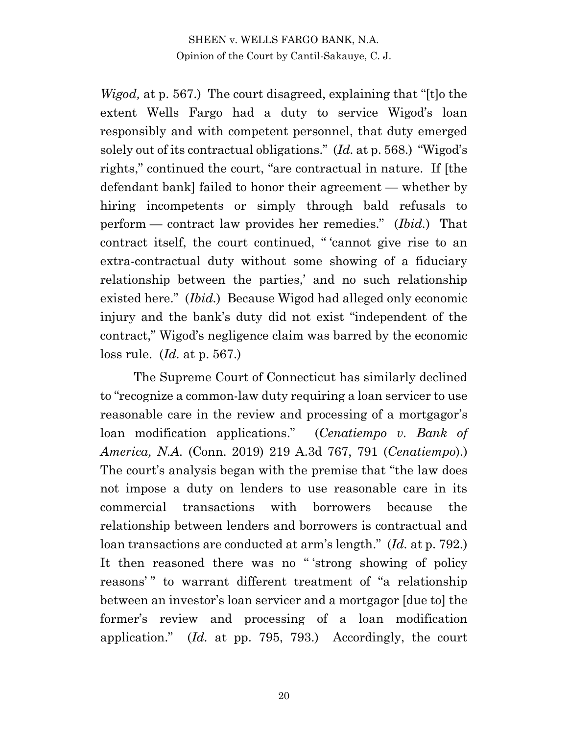*Wigod,* at p. 567.) The court disagreed, explaining that "[t]o the extent Wells Fargo had a duty to service Wigod's loan responsibly and with competent personnel, that duty emerged solely out of its contractual obligations." (*Id.* at p. 568.) "Wigod's rights," continued the court, "are contractual in nature. If [the defendant bank] failed to honor their agreement — whether by hiring incompetents or simply through bald refusals to perform — contract law provides her remedies." (*Ibid.*) That contract itself, the court continued, " 'cannot give rise to an extra-contractual duty without some showing of a fiduciary relationship between the parties,' and no such relationship existed here." (*Ibid.*) Because Wigod had alleged only economic injury and the bank's duty did not exist "independent of the contract," Wigod's negligence claim was barred by the economic loss rule. (*Id.* at p. 567.)

The Supreme Court of Connecticut has similarly declined to "recognize a common-law duty requiring a loan servicer to use reasonable care in the review and processing of a mortgagor's loan modification applications." (*Cenatiempo v. Bank of America, N.A.* (Conn. 2019) 219 A.3d 767, 791 (*Cenatiempo*).) The court's analysis began with the premise that "the law does not impose a duty on lenders to use reasonable care in its commercial transactions with borrowers because the relationship between lenders and borrowers is contractual and loan transactions are conducted at arm's length." (*Id.* at p. 792.) It then reasoned there was no " 'strong showing of policy reasons'" to warrant different treatment of "a relationship between an investor's loan servicer and a mortgagor [due to] the former's review and processing of a loan modification application." (*Id.* at pp. 795, 793.) Accordingly, the court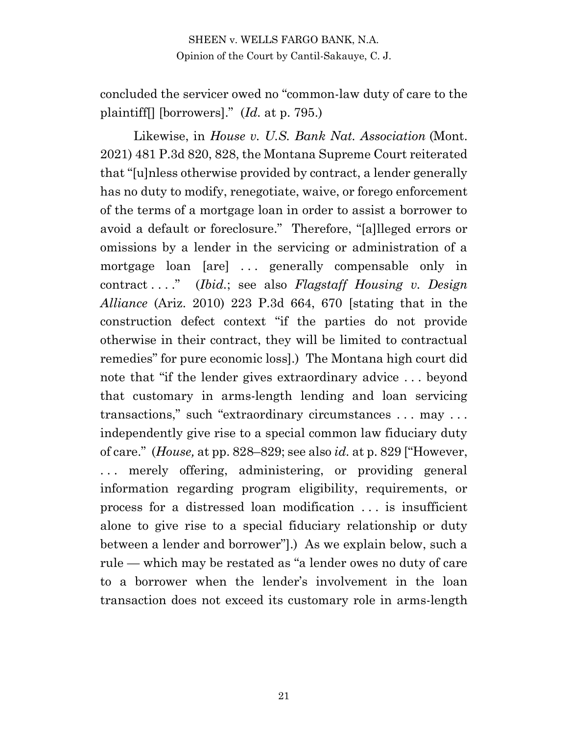concluded the servicer owed no "common-law duty of care to the plaintiff[] [borrowers]." (*Id.* at p. 795.)

Likewise, in *House v. U.S. Bank Nat. Association* (Mont. 2021) 481 P.3d 820, 828, the Montana Supreme Court reiterated that "[u]nless otherwise provided by contract, a lender generally has no duty to modify, renegotiate, waive, or forego enforcement of the terms of a mortgage loan in order to assist a borrower to avoid a default or foreclosure." Therefore, "[a]lleged errors or omissions by a lender in the servicing or administration of a mortgage loan [are] . . . generally compensable only in contract . . . ." (*Ibid.*; see also *Flagstaff Housing v. Design Alliance* (Ariz. 2010) 223 P.3d 664, 670 [stating that in the construction defect context "if the parties do not provide otherwise in their contract, they will be limited to contractual remedies" for pure economic loss].) The Montana high court did note that "if the lender gives extraordinary advice . . . beyond that customary in arms-length lending and loan servicing transactions," such "extraordinary circumstances . . . may . . . independently give rise to a special common law fiduciary duty of care." (*House,* at pp. 828–829; see also *id.* at p. 829 ["However, ... merely offering, administering, or providing general information regarding program eligibility, requirements, or process for a distressed loan modification . . . is insufficient alone to give rise to a special fiduciary relationship or duty between a lender and borrower"].) As we explain below, such a rule — which may be restated as "a lender owes no duty of care to a borrower when the lender's involvement in the loan transaction does not exceed its customary role in arms-length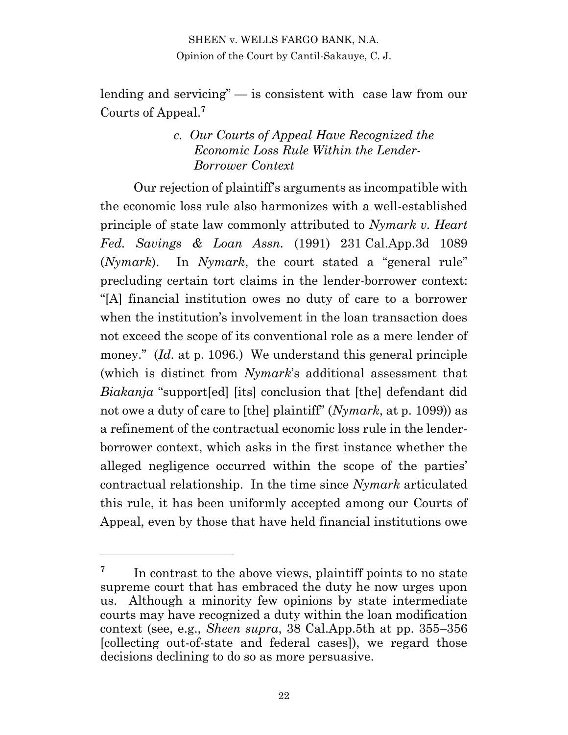lending and servicing" — is consistent with case law from our Courts of Appeal.**<sup>7</sup>**

## *c. Our Courts of Appeal Have Recognized the Economic Loss Rule Within the Lender-Borrower Context*

Our rejection of plaintiff's arguments as incompatible with the economic loss rule also harmonizes with a well-established principle of state law commonly attributed to *Nymark v. Heart Fed. Savings & Loan Assn.* (1991) 231 Cal.App.3d 1089 (*Nymark*). In *Nymark*, the court stated a "general rule" precluding certain tort claims in the lender-borrower context: "[A] financial institution owes no duty of care to a borrower when the institution's involvement in the loan transaction does not exceed the scope of its conventional role as a mere lender of money." (*Id.* at p. 1096*.*) We understand this general principle (which is distinct from *Nymark*'s additional assessment that *Biakanja* "support[ed] [its] conclusion that [the] defendant did not owe a duty of care to [the] plaintiff" (*Nymark*, at p. 1099)) as a refinement of the contractual economic loss rule in the lenderborrower context, which asks in the first instance whether the alleged negligence occurred within the scope of the parties' contractual relationship. In the time since *Nymark* articulated this rule, it has been uniformly accepted among our Courts of Appeal, even by those that have held financial institutions owe

**<sup>7</sup>** In contrast to the above views, plaintiff points to no state supreme court that has embraced the duty he now urges upon us. Although a minority few opinions by state intermediate courts may have recognized a duty within the loan modification context (see, e.g., *Sheen supra*, 38 Cal.App.5th at pp. 355–356 [collecting out-of-state and federal cases]), we regard those decisions declining to do so as more persuasive.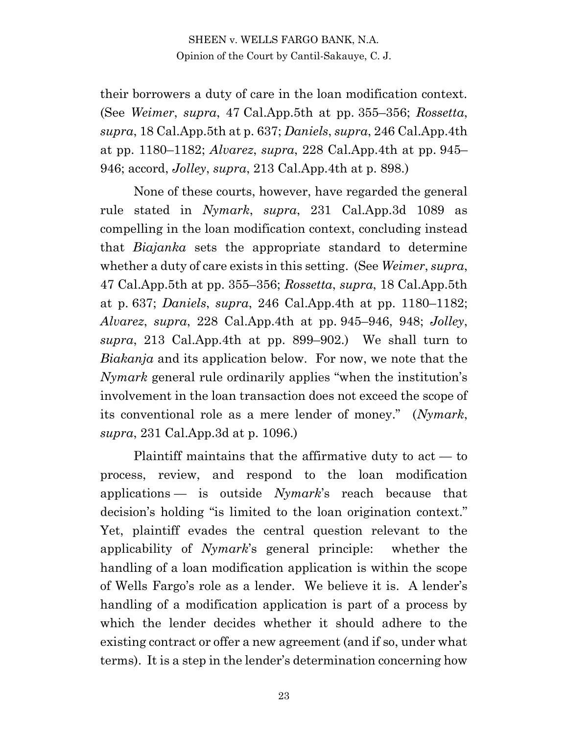their borrowers a duty of care in the loan modification context. (See *Weimer*, *supra*, 47 Cal.App.5th at pp. 355–356; *Rossetta*, *supra*, 18 Cal.App.5th at p. 637; *Daniels*, *supra*, 246 Cal.App.4th at pp. 1180–1182; *Alvarez*, *supra*, 228 Cal.App.4th at pp. 945– 946; accord, *Jolley*, *supra*, 213 Cal.App.4th at p. 898.)

None of these courts, however, have regarded the general rule stated in *Nymark*, *supra*, 231 Cal.App.3d 1089 as compelling in the loan modification context, concluding instead that *Biajanka* sets the appropriate standard to determine whether a duty of care exists in this setting. (See *Weimer*, *supra*, 47 Cal.App.5th at pp. 355–356; *Rossetta*, *supra*, 18 Cal.App.5th at p. 637; *Daniels*, *supra*, 246 Cal.App.4th at pp. 1180–1182; *Alvarez*, *supra*, 228 Cal.App.4th at pp. 945–946, 948; *Jolley*, *supra*, 213 Cal.App.4th at pp. 899–902.) We shall turn to *Biakanja* and its application below. For now, we note that the *Nymark* general rule ordinarily applies "when the institution's involvement in the loan transaction does not exceed the scope of its conventional role as a mere lender of money." (*Nymark*, *supra*, 231 Cal.App.3d at p. 1096.)

Plaintiff maintains that the affirmative duty to act — to process, review, and respond to the loan modification applications — is outside *Nymark*'s reach because that decision's holding "is limited to the loan origination context." Yet, plaintiff evades the central question relevant to the applicability of *Nymark*'s general principle: whether the handling of a loan modification application is within the scope of Wells Fargo's role as a lender. We believe it is. A lender's handling of a modification application is part of a process by which the lender decides whether it should adhere to the existing contract or offer a new agreement (and if so, under what terms). It is a step in the lender's determination concerning how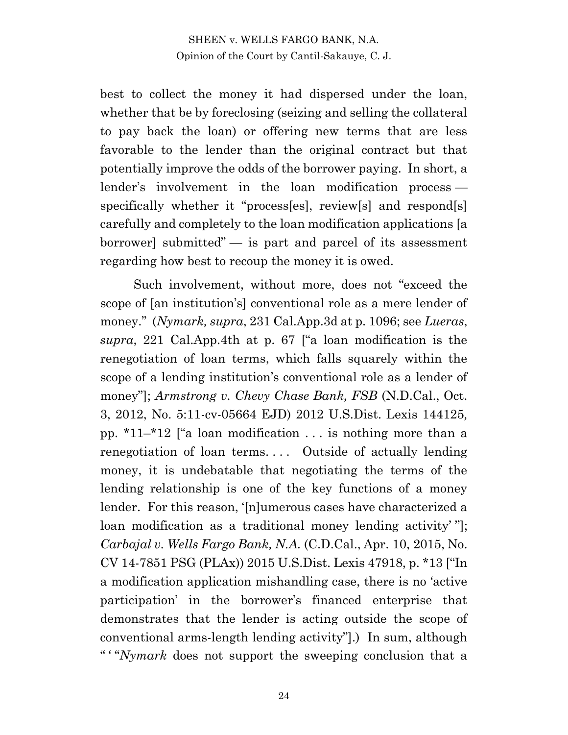best to collect the money it had dispersed under the loan, whether that be by foreclosing (seizing and selling the collateral to pay back the loan) or offering new terms that are less favorable to the lender than the original contract but that potentially improve the odds of the borrower paying. In short, a lender's involvement in the loan modification process specifically whether it "process[es], review[s] and respond[s] carefully and completely to the loan modification applications [a borrower] submitted" — is part and parcel of its assessment regarding how best to recoup the money it is owed.

Such involvement, without more, does not "exceed the scope of [an institution's] conventional role as a mere lender of money." (*Nymark, supra*, 231 Cal.App.3d at p. 1096; see *Lueras*, *supra*, 221 Cal.App.4th at p. 67 ["a loan modification is the renegotiation of loan terms, which falls squarely within the scope of a lending institution's conventional role as a lender of money"]; *Armstrong v. Chevy Chase Bank, FSB* (N.D.Cal., Oct. 3, 2012, No. 5:11-cv-05664 EJD) 2012 U.S.Dist. Lexis 144125*,*  pp. \*11–\*12 ["a loan modification . . . is nothing more than a renegotiation of loan terms.... Outside of actually lending money, it is undebatable that negotiating the terms of the lending relationship is one of the key functions of a money lender. For this reason, '[n]umerous cases have characterized a loan modification as a traditional money lending activity' "]; *Carbajal v. Wells Fargo Bank, N.A.* (C.D.Cal., Apr. 10, 2015, No. CV 14-7851 PSG (PLAx)) 2015 U.S.Dist. Lexis 47918, p. \*13 ["In a modification application mishandling case, there is no 'active participation' in the borrower's financed enterprise that demonstrates that the lender is acting outside the scope of conventional arms-length lending activity"].) In sum, although " ' "*Nymark* does not support the sweeping conclusion that a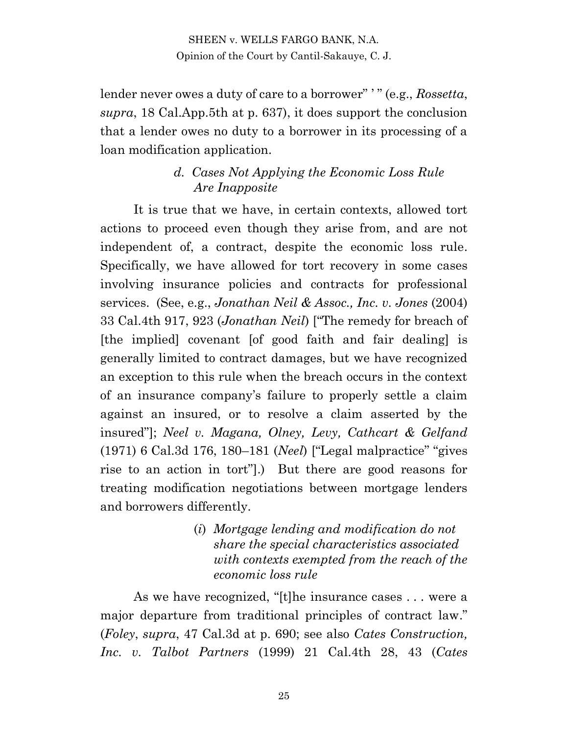lender never owes a duty of care to a borrower" ' " (e.g., *Rossetta*, *supra*, 18 Cal.App.5th at p. 637), it does support the conclusion that a lender owes no duty to a borrower in its processing of a loan modification application.

## *d. Cases Not Applying the Economic Loss Rule Are Inapposite*

It is true that we have, in certain contexts, allowed tort actions to proceed even though they arise from, and are not independent of, a contract, despite the economic loss rule. Specifically, we have allowed for tort recovery in some cases involving insurance policies and contracts for professional services. (See, e.g., *Jonathan Neil & Assoc., Inc. v. Jones* (2004) 33 Cal.4th 917, 923 (*Jonathan Neil*) ["The remedy for breach of [the implied] covenant [of good faith and fair dealing] is generally limited to contract damages, but we have recognized an exception to this rule when the breach occurs in the context of an insurance company's failure to properly settle a claim against an insured, or to resolve a claim asserted by the insured"]; *Neel v. Magana, Olney, Levy, Cathcart & Gelfand* (1971) 6 Cal.3d 176, 180–181 (*Neel*) ["Legal malpractice" "gives rise to an action in tort"].) But there are good reasons for treating modification negotiations between mortgage lenders and borrowers differently.

> (*i*) *Mortgage lending and modification do not share the special characteristics associated with contexts exempted from the reach of the economic loss rule*

As we have recognized, "[t]he insurance cases . . . were a major departure from traditional principles of contract law." (*Foley*, *supra*, 47 Cal.3d at p. 690; see also *Cates Construction, Inc. v. Talbot Partners* (1999) 21 Cal.4th 28, 43 (*Cates*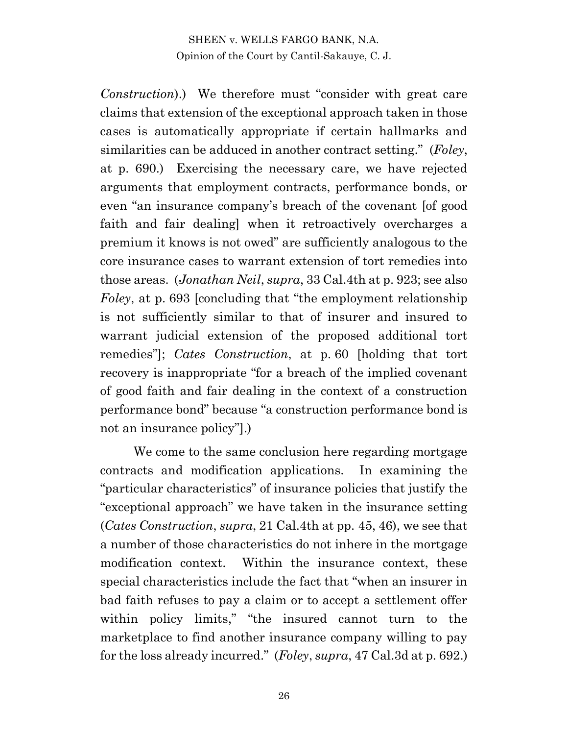*Construction*).) We therefore must "consider with great care claims that extension of the exceptional approach taken in those cases is automatically appropriate if certain hallmarks and similarities can be adduced in another contract setting." (*Foley*, at p. 690.) Exercising the necessary care, we have rejected arguments that employment contracts, performance bonds, or even "an insurance company's breach of the covenant [of good faith and fair dealing] when it retroactively overcharges a premium it knows is not owed" are sufficiently analogous to the core insurance cases to warrant extension of tort remedies into those areas. (*Jonathan Neil*, *supra*, 33 Cal.4th at p. 923; see also *Foley*, at p. 693 [concluding that "the employment relationship is not sufficiently similar to that of insurer and insured to warrant judicial extension of the proposed additional tort remedies"]; *Cates Construction*, at p. 60 [holding that tort recovery is inappropriate "for a breach of the implied covenant of good faith and fair dealing in the context of a construction performance bond" because "a construction performance bond is not an insurance policy"].)

We come to the same conclusion here regarding mortgage contracts and modification applications. In examining the "particular characteristics" of insurance policies that justify the "exceptional approach" we have taken in the insurance setting (*Cates Construction*, *supra*, 21 Cal.4th at pp. 45, 46), we see that a number of those characteristics do not inhere in the mortgage modification context. Within the insurance context, these special characteristics include the fact that "when an insurer in bad faith refuses to pay a claim or to accept a settlement offer within policy limits," "the insured cannot turn to the marketplace to find another insurance company willing to pay for the loss already incurred." (*Foley*, *supra*, 47 Cal.3d at p. 692.)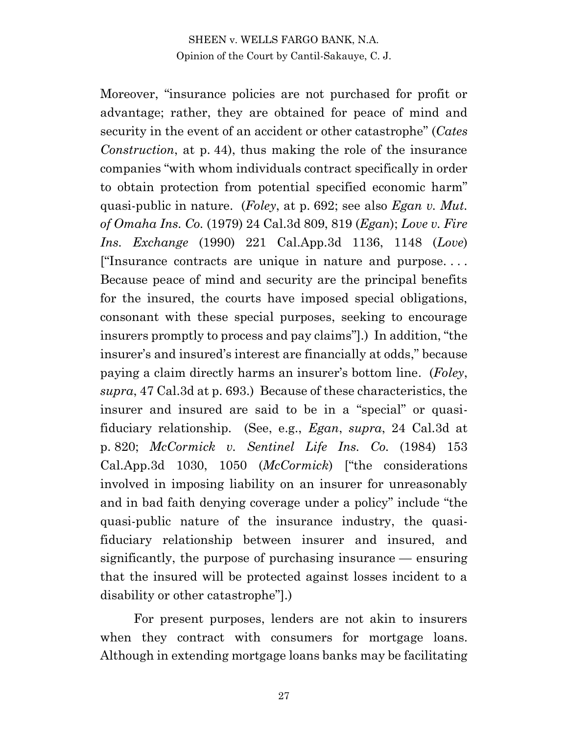Moreover, "insurance policies are not purchased for profit or advantage; rather, they are obtained for peace of mind and security in the event of an accident or other catastrophe" (*Cates Construction*, at p. 44), thus making the role of the insurance companies "with whom individuals contract specifically in order to obtain protection from potential specified economic harm" quasi-public in nature. (*Foley*, at p. 692; see also *Egan v. Mut. of Omaha Ins. Co.* (1979) 24 Cal.3d 809, 819 (*Egan*); *Love v. Fire Ins. Exchange* (1990) 221 Cal.App.3d 1136, 1148 (*Love*) ["Insurance contracts are unique in nature and purpose. . . . Because peace of mind and security are the principal benefits for the insured, the courts have imposed special obligations, consonant with these special purposes, seeking to encourage insurers promptly to process and pay claims"].) In addition, "the insurer's and insured's interest are financially at odds," because paying a claim directly harms an insurer's bottom line. (*Foley*, *supra*, 47 Cal.3d at p. 693.) Because of these characteristics, the insurer and insured are said to be in a "special" or quasifiduciary relationship. (See, e.g., *Egan*, *supra*, 24 Cal.3d at p. 820; *McCormick v. Sentinel Life Ins. Co.* (1984) 153 Cal.App.3d 1030, 1050 (*McCormick*) ["the considerations involved in imposing liability on an insurer for unreasonably and in bad faith denying coverage under a policy" include "the quasi-public nature of the insurance industry, the quasifiduciary relationship between insurer and insured, and significantly, the purpose of purchasing insurance — ensuring that the insured will be protected against losses incident to a disability or other catastrophe"].)

For present purposes, lenders are not akin to insurers when they contract with consumers for mortgage loans. Although in extending mortgage loans banks may be facilitating

27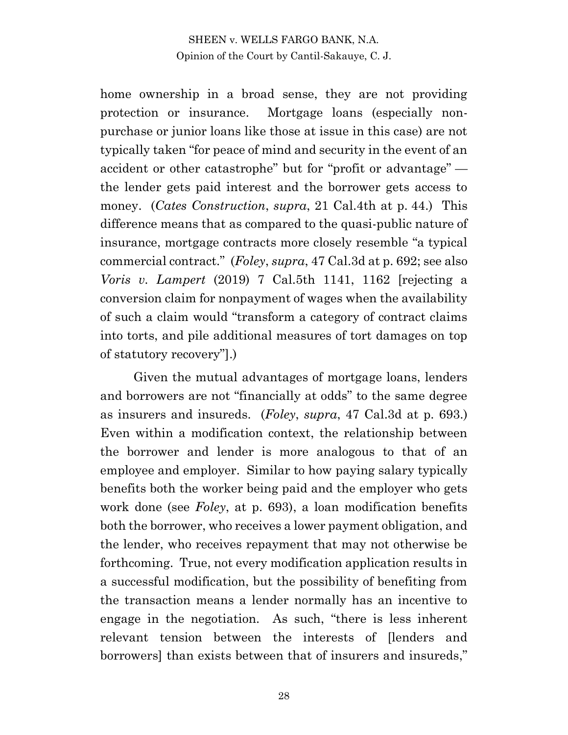home ownership in a broad sense, they are not providing protection or insurance. Mortgage loans (especially nonpurchase or junior loans like those at issue in this case) are not typically taken "for peace of mind and security in the event of an accident or other catastrophe" but for "profit or advantage" the lender gets paid interest and the borrower gets access to money. (*Cates Construction*, *supra*, 21 Cal.4th at p. 44.) This difference means that as compared to the quasi-public nature of insurance, mortgage contracts more closely resemble "a typical commercial contract." (*Foley*, *supra*, 47 Cal.3d at p. 692; see also *Voris v. Lampert* (2019) 7 Cal.5th 1141, 1162 [rejecting a conversion claim for nonpayment of wages when the availability of such a claim would "transform a category of contract claims into torts, and pile additional measures of tort damages on top of statutory recovery"].)

Given the mutual advantages of mortgage loans, lenders and borrowers are not "financially at odds" to the same degree as insurers and insureds. (*Foley*, *supra*, 47 Cal.3d at p. 693.) Even within a modification context, the relationship between the borrower and lender is more analogous to that of an employee and employer. Similar to how paying salary typically benefits both the worker being paid and the employer who gets work done (see *Foley*, at p. 693), a loan modification benefits both the borrower, who receives a lower payment obligation, and the lender, who receives repayment that may not otherwise be forthcoming. True, not every modification application results in a successful modification, but the possibility of benefiting from the transaction means a lender normally has an incentive to engage in the negotiation. As such, "there is less inherent relevant tension between the interests of [lenders and borrowers] than exists between that of insurers and insureds,"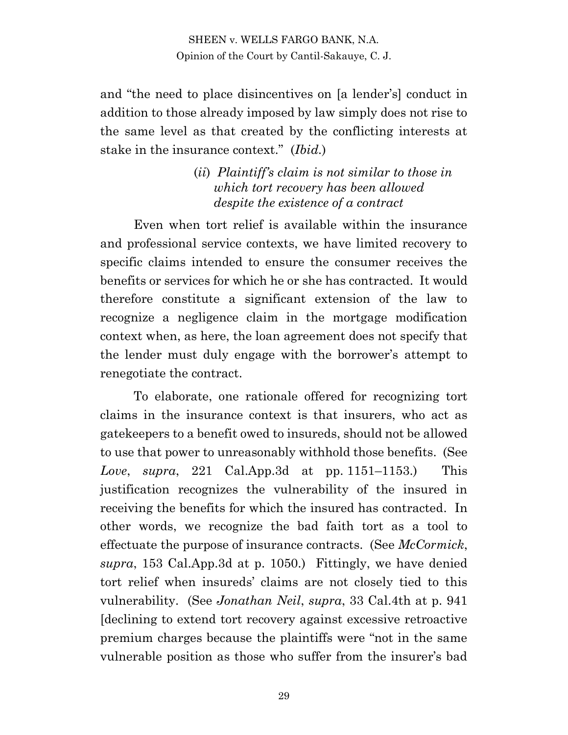and "the need to place disincentives on [a lender's] conduct in addition to those already imposed by law simply does not rise to the same level as that created by the conflicting interests at stake in the insurance context." (*Ibid.*)

> (*ii*) *Plaintiff's claim is not similar to those in which tort recovery has been allowed despite the existence of a contract*

Even when tort relief is available within the insurance and professional service contexts, we have limited recovery to specific claims intended to ensure the consumer receives the benefits or services for which he or she has contracted. It would therefore constitute a significant extension of the law to recognize a negligence claim in the mortgage modification context when, as here, the loan agreement does not specify that the lender must duly engage with the borrower's attempt to renegotiate the contract.

To elaborate, one rationale offered for recognizing tort claims in the insurance context is that insurers, who act as gatekeepers to a benefit owed to insureds, should not be allowed to use that power to unreasonably withhold those benefits. (See *Love*, *supra*, 221 Cal.App.3d at pp. 1151–1153.) This justification recognizes the vulnerability of the insured in receiving the benefits for which the insured has contracted. In other words, we recognize the bad faith tort as a tool to effectuate the purpose of insurance contracts. (See *McCormick*, *supra*, 153 Cal.App.3d at p. 1050.) Fittingly, we have denied tort relief when insureds' claims are not closely tied to this vulnerability. (See *Jonathan Neil*, *supra*, 33 Cal.4th at p. 941 [declining to extend tort recovery against excessive retroactive premium charges because the plaintiffs were "not in the same vulnerable position as those who suffer from the insurer's bad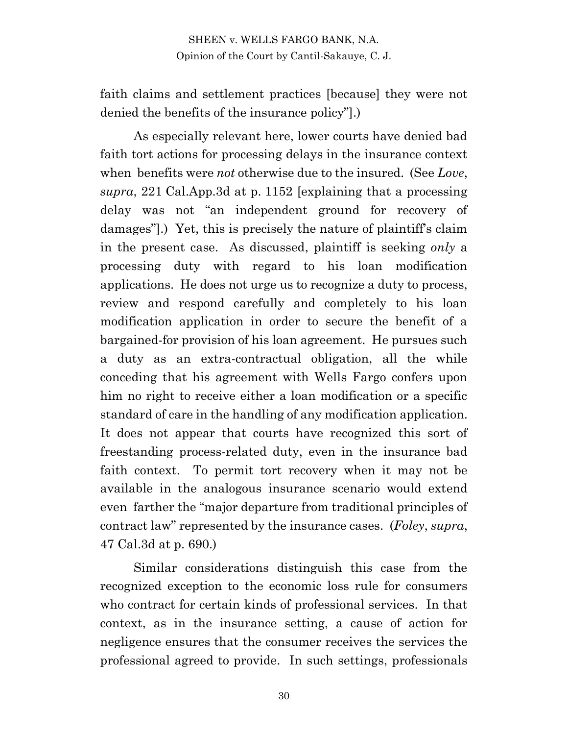faith claims and settlement practices [because] they were not denied the benefits of the insurance policy"].)

As especially relevant here, lower courts have denied bad faith tort actions for processing delays in the insurance context when benefits were *not* otherwise due to the insured. (See *Love*, *supra*, 221 Cal.App.3d at p. 1152 [explaining that a processing delay was not "an independent ground for recovery of damages"].) Yet, this is precisely the nature of plaintiff's claim in the present case. As discussed, plaintiff is seeking *only* a processing duty with regard to his loan modification applications. He does not urge us to recognize a duty to process, review and respond carefully and completely to his loan modification application in order to secure the benefit of a bargained-for provision of his loan agreement. He pursues such a duty as an extra-contractual obligation, all the while conceding that his agreement with Wells Fargo confers upon him no right to receive either a loan modification or a specific standard of care in the handling of any modification application. It does not appear that courts have recognized this sort of freestanding process-related duty, even in the insurance bad faith context. To permit tort recovery when it may not be available in the analogous insurance scenario would extend even farther the "major departure from traditional principles of contract law" represented by the insurance cases. (*Foley*, *supra*, 47 Cal.3d at p. 690.)

Similar considerations distinguish this case from the recognized exception to the economic loss rule for consumers who contract for certain kinds of professional services. In that context, as in the insurance setting, a cause of action for negligence ensures that the consumer receives the services the professional agreed to provide. In such settings, professionals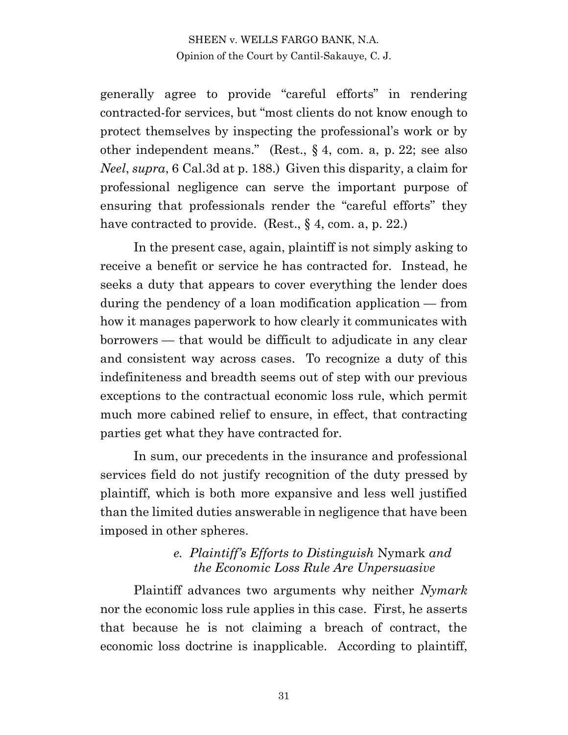generally agree to provide "careful efforts" in rendering contracted-for services, but "most clients do not know enough to protect themselves by inspecting the professional's work or by other independent means." (Rest., § 4, com. a, p. 22; see also *Neel*, *supra*, 6 Cal.3d at p. 188.) Given this disparity, a claim for professional negligence can serve the important purpose of ensuring that professionals render the "careful efforts" they have contracted to provide. (Rest., § 4, com. a, p. 22.)

In the present case, again, plaintiff is not simply asking to receive a benefit or service he has contracted for. Instead, he seeks a duty that appears to cover everything the lender does during the pendency of a loan modification application — from how it manages paperwork to how clearly it communicates with borrowers — that would be difficult to adjudicate in any clear and consistent way across cases. To recognize a duty of this indefiniteness and breadth seems out of step with our previous exceptions to the contractual economic loss rule, which permit much more cabined relief to ensure, in effect, that contracting parties get what they have contracted for.

In sum, our precedents in the insurance and professional services field do not justify recognition of the duty pressed by plaintiff, which is both more expansive and less well justified than the limited duties answerable in negligence that have been imposed in other spheres.

## *e. Plaintiff's Efforts to Distinguish* Nymark *and the Economic Loss Rule Are Unpersuasive*

Plaintiff advances two arguments why neither *Nymark*  nor the economic loss rule applies in this case. First, he asserts that because he is not claiming a breach of contract, the economic loss doctrine is inapplicable. According to plaintiff,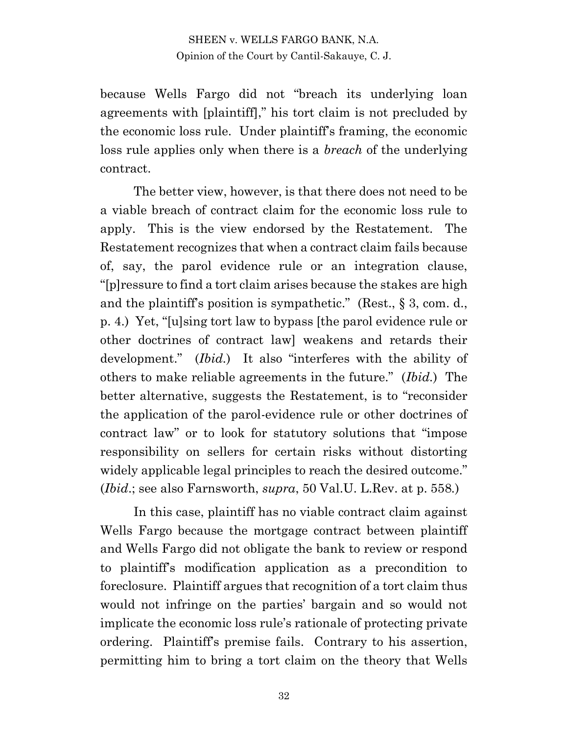because Wells Fargo did not "breach its underlying loan agreements with [plaintiff]," his tort claim is not precluded by the economic loss rule. Under plaintiff's framing, the economic loss rule applies only when there is a *breach* of the underlying contract.

The better view, however, is that there does not need to be a viable breach of contract claim for the economic loss rule to apply. This is the view endorsed by the Restatement. The Restatement recognizes that when a contract claim fails because of, say, the parol evidence rule or an integration clause, "[p]ressure to find a tort claim arises because the stakes are high and the plaintiff's position is sympathetic." (Rest., § 3, com. d., p. 4.) Yet, "[u]sing tort law to bypass [the parol evidence rule or other doctrines of contract law] weakens and retards their development." (*Ibid.*) It also "interferes with the ability of others to make reliable agreements in the future." (*Ibid.*) The better alternative, suggests the Restatement, is to "reconsider the application of the parol-evidence rule or other doctrines of contract law" or to look for statutory solutions that "impose responsibility on sellers for certain risks without distorting widely applicable legal principles to reach the desired outcome." (*Ibid*.; see also Farnsworth, *supra*, 50 Val.U. L.Rev. at p. 558*.*)

In this case, plaintiff has no viable contract claim against Wells Fargo because the mortgage contract between plaintiff and Wells Fargo did not obligate the bank to review or respond to plaintiff's modification application as a precondition to foreclosure. Plaintiff argues that recognition of a tort claim thus would not infringe on the parties' bargain and so would not implicate the economic loss rule's rationale of protecting private ordering. Plaintiff's premise fails. Contrary to his assertion, permitting him to bring a tort claim on the theory that Wells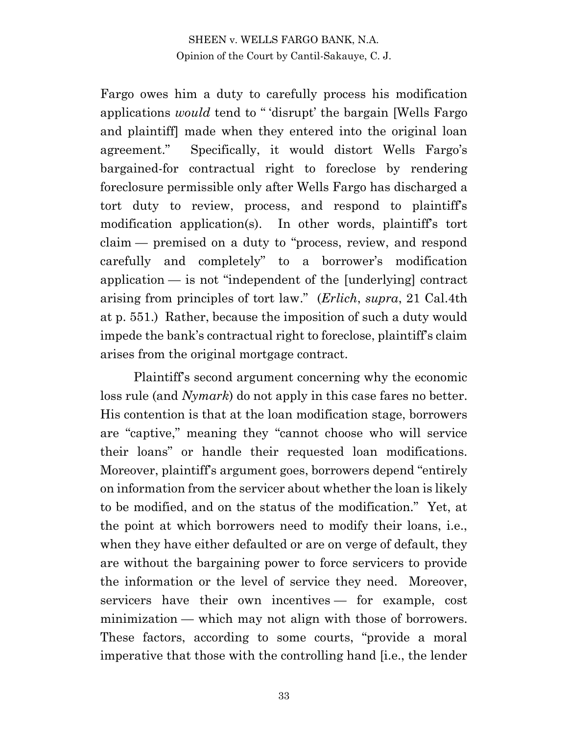Fargo owes him a duty to carefully process his modification applications *would* tend to " 'disrupt' the bargain [Wells Fargo and plaintiff] made when they entered into the original loan agreement." Specifically, it would distort Wells Fargo's bargained-for contractual right to foreclose by rendering foreclosure permissible only after Wells Fargo has discharged a tort duty to review, process, and respond to plaintiff's modification application(s). In other words, plaintiff's tort claim — premised on a duty to "process, review, and respond carefully and completely" to a borrower's modification application — is not "independent of the [underlying] contract arising from principles of tort law." (*Erlich*, *supra*, 21 Cal.4th at p. 551.) Rather, because the imposition of such a duty would impede the bank's contractual right to foreclose, plaintiff's claim arises from the original mortgage contract.

Plaintiff's second argument concerning why the economic loss rule (and *Nymark*) do not apply in this case fares no better. His contention is that at the loan modification stage, borrowers are "captive," meaning they "cannot choose who will service their loans" or handle their requested loan modifications. Moreover, plaintiff's argument goes, borrowers depend "entirely on information from the servicer about whether the loan is likely to be modified, and on the status of the modification." Yet, at the point at which borrowers need to modify their loans, i.e., when they have either defaulted or are on verge of default, they are without the bargaining power to force servicers to provide the information or the level of service they need. Moreover, servicers have their own incentives — for example, cost minimization — which may not align with those of borrowers. These factors, according to some courts, "provide a moral imperative that those with the controlling hand [i.e., the lender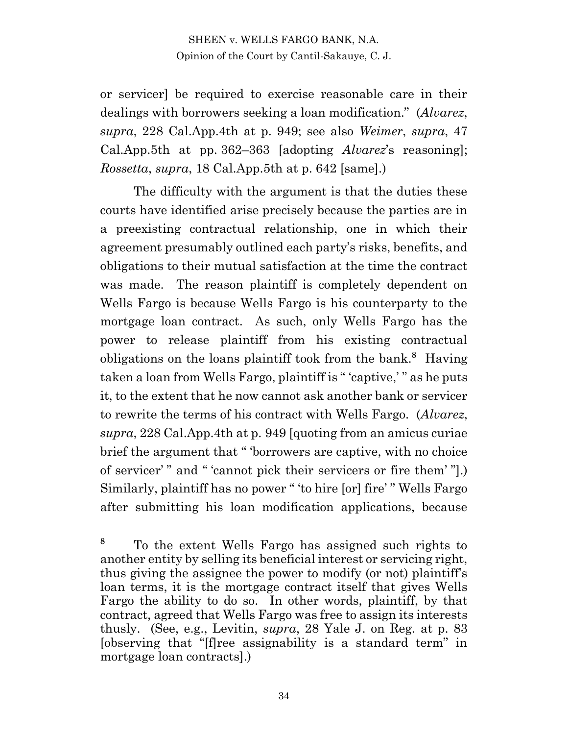or servicer] be required to exercise reasonable care in their dealings with borrowers seeking a loan modification." (*Alvarez*, *supra*, 228 Cal.App.4th at p. 949; see also *Weimer*, *supra*, 47 Cal.App.5th at pp. 362–363 [adopting *Alvarez*'s reasoning]; *Rossetta*, *supra*, 18 Cal.App.5th at p. 642 [same].)

The difficulty with the argument is that the duties these courts have identified arise precisely because the parties are in a preexisting contractual relationship, one in which their agreement presumably outlined each party's risks, benefits, and obligations to their mutual satisfaction at the time the contract was made. The reason plaintiff is completely dependent on Wells Fargo is because Wells Fargo is his counterparty to the mortgage loan contract. As such, only Wells Fargo has the power to release plaintiff from his existing contractual obligations on the loans plaintiff took from the bank.**<sup>8</sup>** Having taken a loan from Wells Fargo, plaintiff is " 'captive,' " as he puts it, to the extent that he now cannot ask another bank or servicer to rewrite the terms of his contract with Wells Fargo. (*Alvarez*, *supra*, 228 Cal.App.4th at p. 949 [quoting from an amicus curiae brief the argument that " 'borrowers are captive, with no choice of servicer' " and " 'cannot pick their servicers or fire them' "].) Similarly, plaintiff has no power " 'to hire [or] fire' " Wells Fargo after submitting his loan modification applications, because

**<sup>8</sup>** To the extent Wells Fargo has assigned such rights to another entity by selling its beneficial interest or servicing right, thus giving the assignee the power to modify (or not) plaintiff's loan terms, it is the mortgage contract itself that gives Wells Fargo the ability to do so. In other words, plaintiff, by that contract, agreed that Wells Fargo was free to assign its interests thusly. (See, e.g., Levitin, *supra*, 28 Yale J. on Reg. at p. 83 [observing that "[f]ree assignability is a standard term" in mortgage loan contracts].)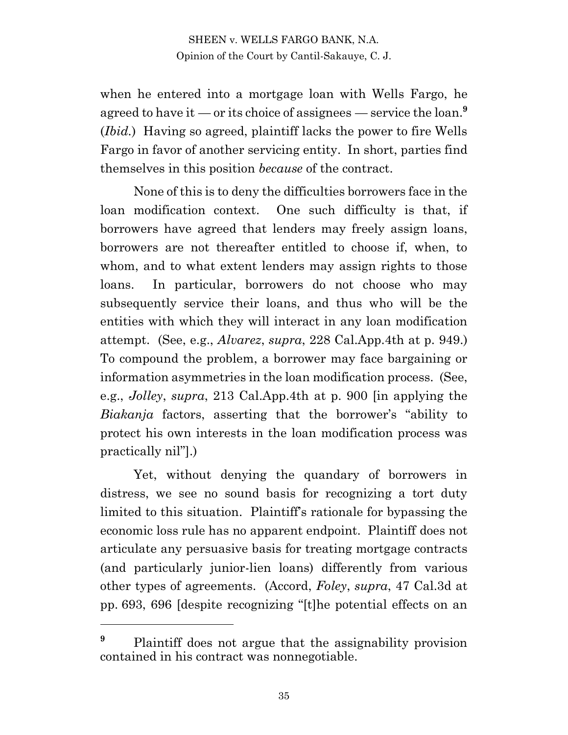when he entered into a mortgage loan with Wells Fargo, he agreed to have it — or its choice of assignees — service the loan.**<sup>9</sup>** (*Ibid.*) Having so agreed, plaintiff lacks the power to fire Wells Fargo in favor of another servicing entity. In short, parties find themselves in this position *because* of the contract.

None of this is to deny the difficulties borrowers face in the loan modification context. One such difficulty is that, if borrowers have agreed that lenders may freely assign loans, borrowers are not thereafter entitled to choose if, when, to whom, and to what extent lenders may assign rights to those loans. In particular, borrowers do not choose who may subsequently service their loans, and thus who will be the entities with which they will interact in any loan modification attempt. (See, e.g., *Alvarez*, *supra*, 228 Cal.App.4th at p. 949.) To compound the problem, a borrower may face bargaining or information asymmetries in the loan modification process. (See, e.g., *Jolley*, *supra*, 213 Cal.App.4th at p. 900 [in applying the *Biakanja* factors, asserting that the borrower's "ability to protect his own interests in the loan modification process was practically nil"].)

Yet, without denying the quandary of borrowers in distress, we see no sound basis for recognizing a tort duty limited to this situation. Plaintiff's rationale for bypassing the economic loss rule has no apparent endpoint. Plaintiff does not articulate any persuasive basis for treating mortgage contracts (and particularly junior-lien loans) differently from various other types of agreements. (Accord, *Foley*, *supra*, 47 Cal.3d at pp. 693, 696 [despite recognizing "[t]he potential effects on an

<sup>&</sup>lt;sup>9</sup> Plaintiff does not argue that the assignability provision contained in his contract was nonnegotiable.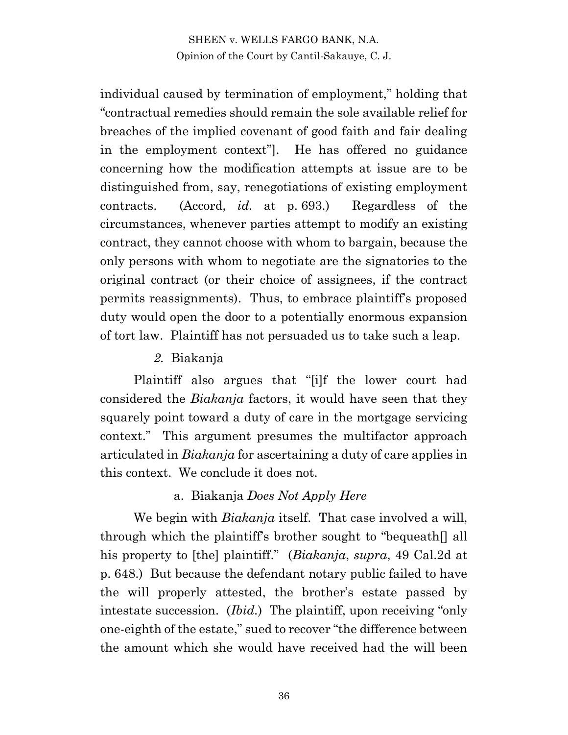individual caused by termination of employment," holding that "contractual remedies should remain the sole available relief for breaches of the implied covenant of good faith and fair dealing in the employment context"]. He has offered no guidance concerning how the modification attempts at issue are to be distinguished from, say, renegotiations of existing employment contracts. (Accord, *id.* at p. 693.) Regardless of the circumstances, whenever parties attempt to modify an existing contract, they cannot choose with whom to bargain, because the only persons with whom to negotiate are the signatories to the original contract (or their choice of assignees, if the contract permits reassignments). Thus, to embrace plaintiff's proposed duty would open the door to a potentially enormous expansion of tort law. Plaintiff has not persuaded us to take such a leap.

## *2.* Biakanja

Plaintiff also argues that "[i]f the lower court had considered the *Biakanja* factors, it would have seen that they squarely point toward a duty of care in the mortgage servicing context." This argument presumes the multifactor approach articulated in *Biakanja* for ascertaining a duty of care applies in this context. We conclude it does not.

#### a. Biakanja *Does Not Apply Here*

We begin with *Biakanja* itself. That case involved a will, through which the plaintiff's brother sought to "bequeath[] all his property to [the] plaintiff." (*Biakanja*, *supra*, 49 Cal.2d at p. 648.) But because the defendant notary public failed to have the will properly attested, the brother's estate passed by intestate succession. (*Ibid.*) The plaintiff, upon receiving "only one-eighth of the estate," sued to recover "the difference between the amount which she would have received had the will been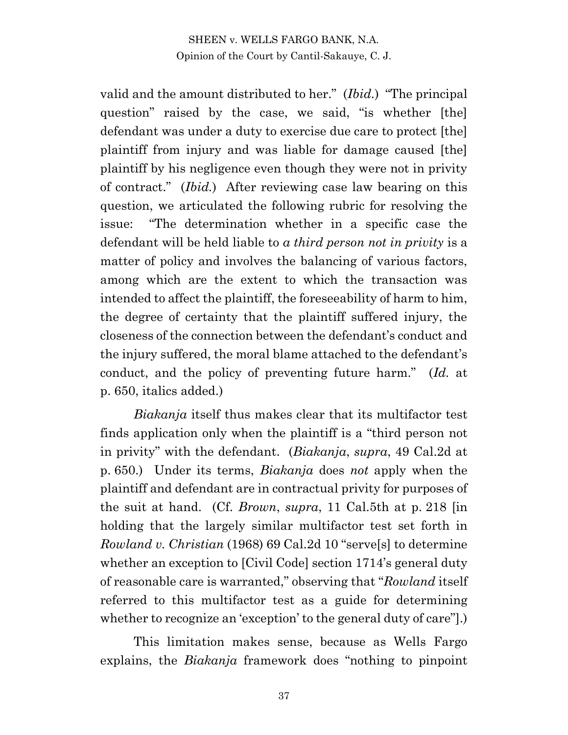valid and the amount distributed to her." (*Ibid.*) "The principal question" raised by the case, we said, "is whether [the] defendant was under a duty to exercise due care to protect [the] plaintiff from injury and was liable for damage caused [the] plaintiff by his negligence even though they were not in privity of contract." (*Ibid.*) After reviewing case law bearing on this question, we articulated the following rubric for resolving the issue: "The determination whether in a specific case the defendant will be held liable to *a third person not in privity* is a matter of policy and involves the balancing of various factors, among which are the extent to which the transaction was intended to affect the plaintiff, the foreseeability of harm to him, the degree of certainty that the plaintiff suffered injury, the closeness of the connection between the defendant's conduct and the injury suffered, the moral blame attached to the defendant's conduct, and the policy of preventing future harm." (*Id.* at p. 650, italics added.)

*Biakanja* itself thus makes clear that its multifactor test finds application only when the plaintiff is a "third person not in privity" with the defendant. (*Biakanja*, *supra*, 49 Cal.2d at p. 650.) Under its terms, *Biakanja* does *not* apply when the plaintiff and defendant are in contractual privity for purposes of the suit at hand. (Cf. *Brown*, *supra*, 11 Cal.5th at p. 218 [in holding that the largely similar multifactor test set forth in *Rowland v. Christian* (1968) 69 Cal.2d 10 "serve[s] to determine whether an exception to [Civil Code] section 1714's general duty of reasonable care is warranted," observing that "*Rowland* itself referred to this multifactor test as a guide for determining whether to recognize an 'exception' to the general duty of care"].)

This limitation makes sense, because as Wells Fargo explains, the *Biakanja* framework does "nothing to pinpoint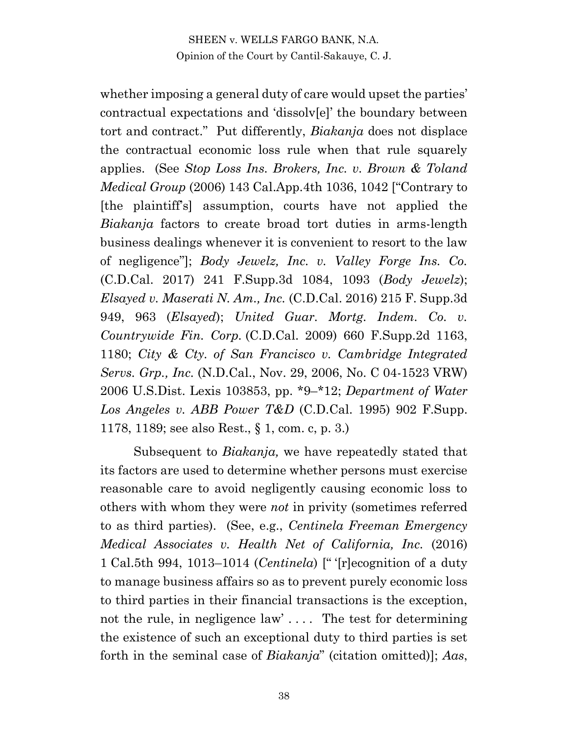whether imposing a general duty of care would upset the parties' contractual expectations and 'dissolv[e]' the boundary between tort and contract." Put differently, *Biakanja* does not displace the contractual economic loss rule when that rule squarely applies. (See *Stop Loss Ins. Brokers, Inc. v. Brown & Toland Medical Group* (2006) 143 Cal.App.4th 1036, 1042 ["Contrary to [the plaintiff's] assumption, courts have not applied the *Biakanja* factors to create broad tort duties in arms-length business dealings whenever it is convenient to resort to the law of negligence"]; *Body Jewelz, Inc. v. Valley Forge Ins. Co.*  (C.D.Cal. 2017) 241 F.Supp.3d 1084, 1093 (*Body Jewelz*); *Elsayed v. Maserati N. Am., Inc.* (C.D.Cal. 2016) 215 F. Supp.3d 949, 963 (*Elsayed*); *United Guar. Mortg. Indem. Co. v. Countrywide Fin. Corp.* (C.D.Cal. 2009) 660 F.Supp.2d 1163, 1180; *City & Cty. of San Francisco v. Cambridge Integrated Servs. Grp., Inc.* (N.D.Cal., Nov. 29, 2006, No. C 04-1523 VRW) 2006 U.S.Dist. Lexis 103853, pp. \*9–\*12; *Department of Water Los Angeles v. ABB Power T&D* (C.D.Cal. 1995) 902 F.Supp. 1178, 1189; see also Rest., § 1, com. c, p. 3.)

Subsequent to *Biakanja,* we have repeatedly stated that its factors are used to determine whether persons must exercise reasonable care to avoid negligently causing economic loss to others with whom they were *not* in privity (sometimes referred to as third parties). (See, e.g., *Centinela Freeman Emergency Medical Associates v. Health Net of California, Inc.* (2016) 1 Cal.5th 994, 1013–1014 (*Centinela*) [" '[r]ecognition of a duty to manage business affairs so as to prevent purely economic loss to third parties in their financial transactions is the exception, not the rule, in negligence law'.... The test for determining the existence of such an exceptional duty to third parties is set forth in the seminal case of *Biakanja*" (citation omitted)]; *Aas*,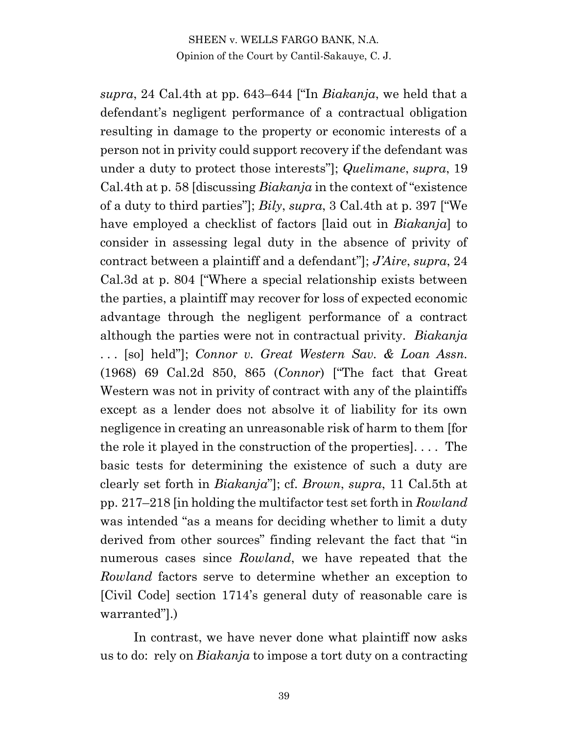*supra*, 24 Cal.4th at pp. 643–644 ["In *Biakanja*, we held that a defendant's negligent performance of a contractual obligation resulting in damage to the property or economic interests of a person not in privity could support recovery if the defendant was under a duty to protect those interests"]; *Quelimane*, *supra*, 19 Cal.4th at p. 58 [discussing *Biakanja* in the context of "existence of a duty to third parties"]; *Bily*, *supra*, 3 Cal.4th at p. 397 ["We have employed a checklist of factors [laid out in *Biakanja*] to consider in assessing legal duty in the absence of privity of contract between a plaintiff and a defendant"]; *J'Aire*, *supra*, 24 Cal.3d at p. 804 ["Where a special relationship exists between the parties, a plaintiff may recover for loss of expected economic advantage through the negligent performance of a contract although the parties were not in contractual privity. *Biakanja*  . . . [so] held"]; *Connor v. Great Western Sav. & Loan Assn.*  (1968) 69 Cal.2d 850, 865 (*Connor*) ["The fact that Great Western was not in privity of contract with any of the plaintiffs except as a lender does not absolve it of liability for its own negligence in creating an unreasonable risk of harm to them [for the role it played in the construction of the properties]. . . . The basic tests for determining the existence of such a duty are clearly set forth in *Biakanja*"]; cf. *Brown*, *supra*, 11 Cal.5th at pp. 217–218 [in holding the multifactor test set forth in *Rowland* was intended "as a means for deciding whether to limit a duty derived from other sources" finding relevant the fact that "in numerous cases since *Rowland*, we have repeated that the *Rowland* factors serve to determine whether an exception to [Civil Code] section 1714's general duty of reasonable care is warranted"].)

In contrast, we have never done what plaintiff now asks us to do: rely on *Biakanja* to impose a tort duty on a contracting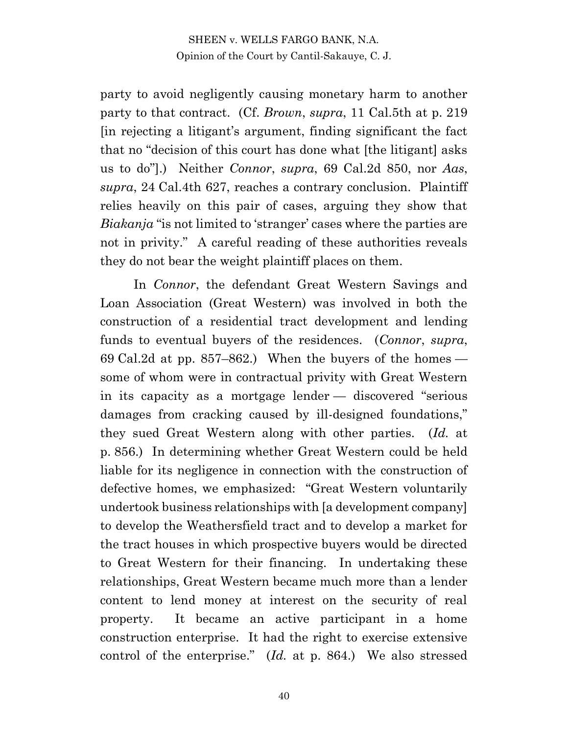party to avoid negligently causing monetary harm to another party to that contract. (Cf. *Brown*, *supra*, 11 Cal.5th at p. 219 [in rejecting a litigant's argument, finding significant the fact that no "decision of this court has done what [the litigant] asks us to do"].) Neither *Connor*, *supra*, 69 Cal.2d 850, nor *Aas*, *supra*, 24 Cal.4th 627, reaches a contrary conclusion. Plaintiff relies heavily on this pair of cases, arguing they show that *Biakanja* "is not limited to 'stranger' cases where the parties are not in privity." A careful reading of these authorities reveals they do not bear the weight plaintiff places on them.

In *Connor*, the defendant Great Western Savings and Loan Association (Great Western) was involved in both the construction of a residential tract development and lending funds to eventual buyers of the residences. (*Connor*, *supra*, 69 Cal.2d at pp. 857–862.) When the buyers of the homes some of whom were in contractual privity with Great Western in its capacity as a mortgage lender — discovered "serious damages from cracking caused by ill-designed foundations," they sued Great Western along with other parties. (*Id.* at p. 856.) In determining whether Great Western could be held liable for its negligence in connection with the construction of defective homes, we emphasized: "Great Western voluntarily undertook business relationships with [a development company] to develop the Weathersfield tract and to develop a market for the tract houses in which prospective buyers would be directed to Great Western for their financing. In undertaking these relationships, Great Western became much more than a lender content to lend money at interest on the security of real property. It became an active participant in a home construction enterprise. It had the right to exercise extensive control of the enterprise." (*Id.* at p. 864.) We also stressed

40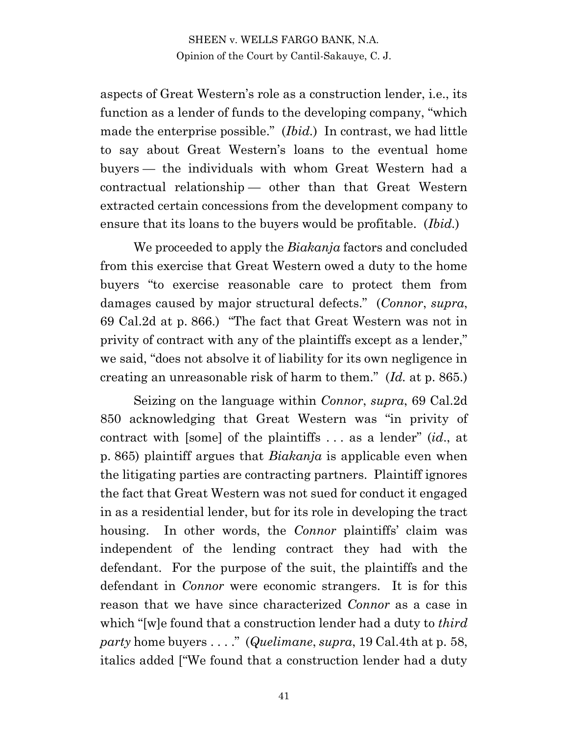aspects of Great Western's role as a construction lender, i.e., its function as a lender of funds to the developing company, "which made the enterprise possible." (*Ibid.*) In contrast, we had little to say about Great Western's loans to the eventual home buyers — the individuals with whom Great Western had a contractual relationship — other than that Great Western extracted certain concessions from the development company to ensure that its loans to the buyers would be profitable. (*Ibid.*)

We proceeded to apply the *Biakanja* factors and concluded from this exercise that Great Western owed a duty to the home buyers "to exercise reasonable care to protect them from damages caused by major structural defects." (*Connor*, *supra*, 69 Cal.2d at p. 866.) "The fact that Great Western was not in privity of contract with any of the plaintiffs except as a lender," we said, "does not absolve it of liability for its own negligence in creating an unreasonable risk of harm to them." (*Id.* at p. 865.)

Seizing on the language within *Connor*, *supra*, 69 Cal.2d 850 acknowledging that Great Western was "in privity of contract with [some] of the plaintiffs . . . as a lender" (*id*., at p. 865) plaintiff argues that *Biakanja* is applicable even when the litigating parties are contracting partners. Plaintiff ignores the fact that Great Western was not sued for conduct it engaged in as a residential lender, but for its role in developing the tract housing. In other words, the *Connor* plaintiffs' claim was independent of the lending contract they had with the defendant. For the purpose of the suit, the plaintiffs and the defendant in *Connor* were economic strangers. It is for this reason that we have since characterized *Connor* as a case in which "[w]e found that a construction lender had a duty to *third party* home buyers . . . ." (*Quelimane*, *supra*, 19 Cal.4th at p. 58, italics added ["We found that a construction lender had a duty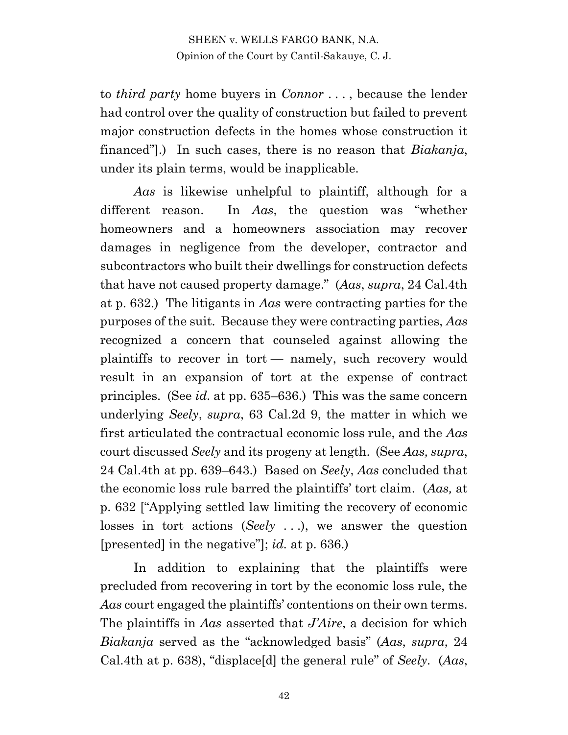to *third party* home buyers in *Connor* . . . , because the lender had control over the quality of construction but failed to prevent major construction defects in the homes whose construction it financed"].) In such cases, there is no reason that *Biakanja*, under its plain terms, would be inapplicable.

*Aas* is likewise unhelpful to plaintiff, although for a different reason. In *Aas*, the question was "whether homeowners and a homeowners association may recover damages in negligence from the developer, contractor and subcontractors who built their dwellings for construction defects that have not caused property damage." (*Aas*, *supra*, 24 Cal.4th at p. 632.) The litigants in *Aas* were contracting parties for the purposes of the suit. Because they were contracting parties, *Aas*  recognized a concern that counseled against allowing the plaintiffs to recover in tort — namely, such recovery would result in an expansion of tort at the expense of contract principles. (See *id.* at pp. 635–636.) This was the same concern underlying *Seely*, *supra*, 63 Cal.2d 9, the matter in which we first articulated the contractual economic loss rule, and the *Aas*  court discussed *Seely* and its progeny at length. (See *Aas, supra*, 24 Cal.4th at pp. 639–643.) Based on *Seely*, *Aas* concluded that the economic loss rule barred the plaintiffs' tort claim. (*Aas,* at p. 632 ["Applying settled law limiting the recovery of economic losses in tort actions (*Seely* . . .), we answer the question [presented] in the negative"]; *id.* at p. 636.)

In addition to explaining that the plaintiffs were precluded from recovering in tort by the economic loss rule, the *Aas* court engaged the plaintiffs' contentions on their own terms. The plaintiffs in *Aas* asserted that *J'Aire*, a decision for which *Biakanja* served as the "acknowledged basis" (*Aas*, *supra*, 24 Cal.4th at p. 638), "displace[d] the general rule" of *Seely*. (*Aas*,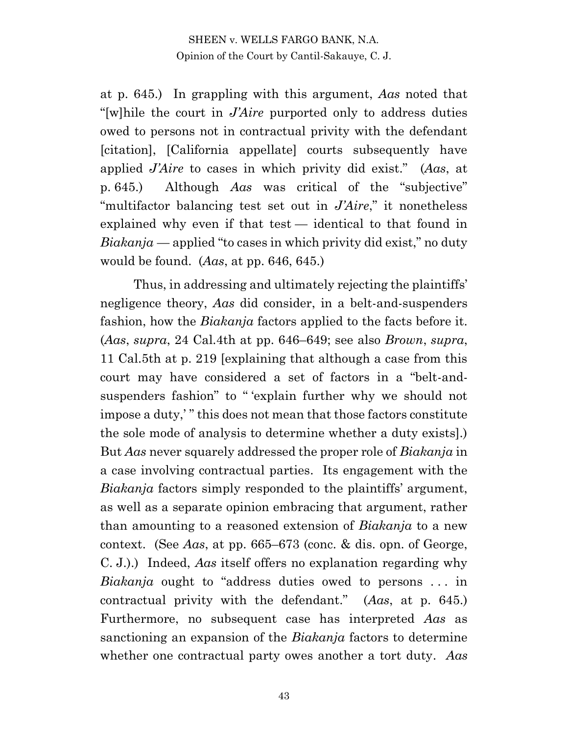at p. 645.) In grappling with this argument, *Aas* noted that "[w]hile the court in *J'Aire* purported only to address duties owed to persons not in contractual privity with the defendant [citation], [California appellate] courts subsequently have applied *J'Aire* to cases in which privity did exist." (*Aas*, at p. 645.) Although *Aas* was critical of the "subjective" "multifactor balancing test set out in *J'Aire*," it nonetheless explained why even if that test — identical to that found in *Biakanja* — applied "to cases in which privity did exist," no duty would be found. (*Aas*, at pp. 646, 645.)

Thus, in addressing and ultimately rejecting the plaintiffs' negligence theory, *Aas* did consider, in a belt-and-suspenders fashion, how the *Biakanja* factors applied to the facts before it. (*Aas*, *supra*, 24 Cal.4th at pp. 646–649; see also *Brown*, *supra*, 11 Cal.5th at p. 219 [explaining that although a case from this court may have considered a set of factors in a "belt-andsuspenders fashion" to " 'explain further why we should not impose a duty,' " this does not mean that those factors constitute the sole mode of analysis to determine whether a duty exists].) But *Aas* never squarely addressed the proper role of *Biakanja* in a case involving contractual parties. Its engagement with the *Biakanja* factors simply responded to the plaintiffs' argument, as well as a separate opinion embracing that argument, rather than amounting to a reasoned extension of *Biakanja* to a new context. (See *Aas*, at pp. 665–673 (conc. & dis. opn. of George, C. J.).) Indeed, *Aas* itself offers no explanation regarding why *Biakanja* ought to "address duties owed to persons . . . in contractual privity with the defendant." (*Aas*, at p. 645.) Furthermore, no subsequent case has interpreted *Aas* as sanctioning an expansion of the *Biakanja* factors to determine whether one contractual party owes another a tort duty. *Aas*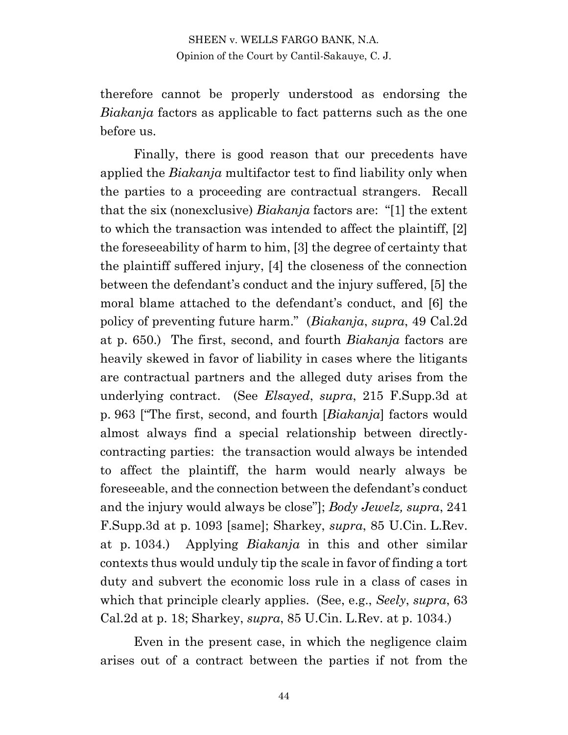therefore cannot be properly understood as endorsing the *Biakanja* factors as applicable to fact patterns such as the one before us.

Finally, there is good reason that our precedents have applied the *Biakanja* multifactor test to find liability only when the parties to a proceeding are contractual strangers. Recall that the six (nonexclusive) *Biakanja* factors are: "[1] the extent to which the transaction was intended to affect the plaintiff, [2] the foreseeability of harm to him, [3] the degree of certainty that the plaintiff suffered injury, [4] the closeness of the connection between the defendant's conduct and the injury suffered, [5] the moral blame attached to the defendant's conduct, and [6] the policy of preventing future harm." (*Biakanja*, *supra*, 49 Cal.2d at p. 650.) The first, second, and fourth *Biakanja* factors are heavily skewed in favor of liability in cases where the litigants are contractual partners and the alleged duty arises from the underlying contract. (See *Elsayed*, *supra*, 215 F.Supp.3d at p. 963 ["The first, second, and fourth [*Biakanja*] factors would almost always find a special relationship between directlycontracting parties: the transaction would always be intended to affect the plaintiff, the harm would nearly always be foreseeable, and the connection between the defendant's conduct and the injury would always be close"]; *Body Jewelz, supra*, 241 F.Supp.3d at p. 1093 [same]; Sharkey, *supra*, 85 U.Cin. L.Rev. at p. 1034.) Applying *Biakanja* in this and other similar contexts thus would unduly tip the scale in favor of finding a tort duty and subvert the economic loss rule in a class of cases in which that principle clearly applies. (See, e.g., *Seely*, *supra*, 63 Cal.2d at p. 18; Sharkey, *supra*, 85 U.Cin. L.Rev. at p. 1034.)

Even in the present case, in which the negligence claim arises out of a contract between the parties if not from the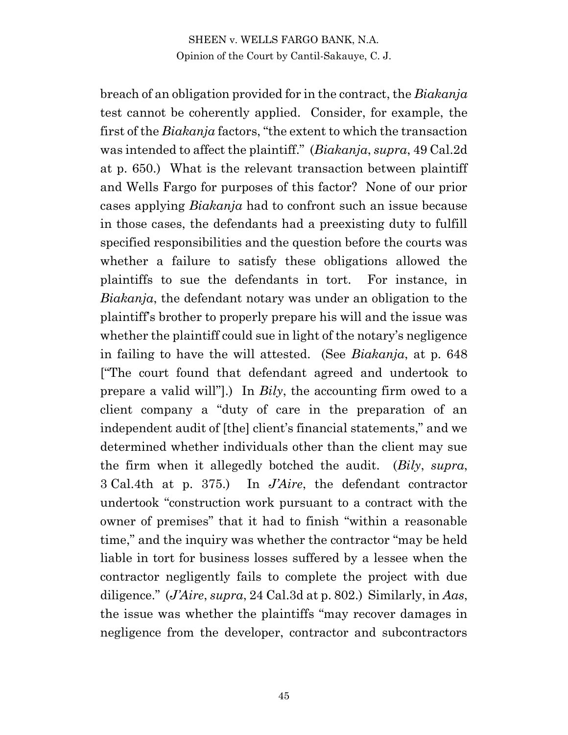breach of an obligation provided for in the contract, the *Biakanja* test cannot be coherently applied. Consider, for example, the first of the *Biakanja* factors, "the extent to which the transaction was intended to affect the plaintiff." (*Biakanja*, *supra*, 49 Cal.2d at p. 650.) What is the relevant transaction between plaintiff and Wells Fargo for purposes of this factor? None of our prior cases applying *Biakanja* had to confront such an issue because in those cases, the defendants had a preexisting duty to fulfill specified responsibilities and the question before the courts was whether a failure to satisfy these obligations allowed the plaintiffs to sue the defendants in tort. For instance, in *Biakanja*, the defendant notary was under an obligation to the plaintiff's brother to properly prepare his will and the issue was whether the plaintiff could sue in light of the notary's negligence in failing to have the will attested. (See *Biakanja*, at p. 648 ["The court found that defendant agreed and undertook to prepare a valid will"].) In *Bily*, the accounting firm owed to a client company a "duty of care in the preparation of an independent audit of [the] client's financial statements," and we determined whether individuals other than the client may sue the firm when it allegedly botched the audit. (*Bily*, *supra*, 3 Cal.4th at p. 375.) In *J'Aire*, the defendant contractor undertook "construction work pursuant to a contract with the owner of premises" that it had to finish "within a reasonable time," and the inquiry was whether the contractor "may be held liable in tort for business losses suffered by a lessee when the contractor negligently fails to complete the project with due diligence." (*J'Aire*, *supra*, 24 Cal.3d at p. 802.) Similarly, in *Aas*, the issue was whether the plaintiffs "may recover damages in negligence from the developer, contractor and subcontractors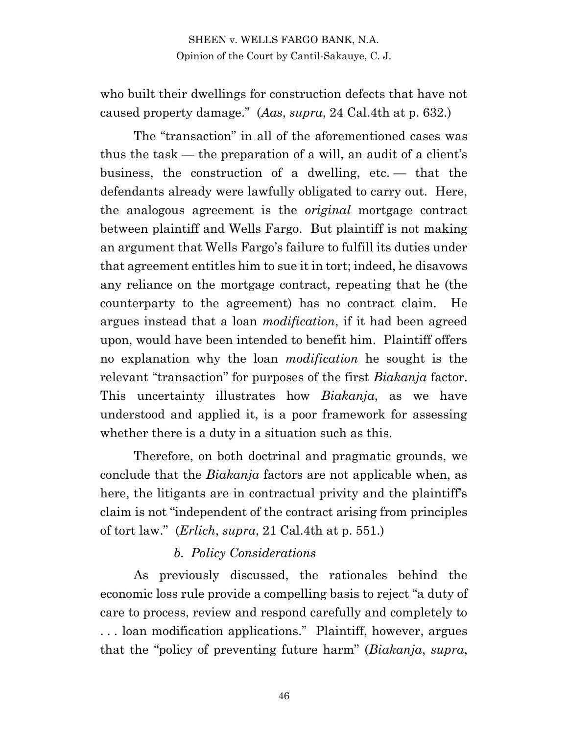who built their dwellings for construction defects that have not caused property damage." (*Aas*, *supra*, 24 Cal.4th at p. 632.)

The "transaction" in all of the aforementioned cases was thus the task — the preparation of a will, an audit of a client's business, the construction of a dwelling, etc. — that the defendants already were lawfully obligated to carry out. Here, the analogous agreement is the *original* mortgage contract between plaintiff and Wells Fargo. But plaintiff is not making an argument that Wells Fargo's failure to fulfill its duties under that agreement entitles him to sue it in tort; indeed, he disavows any reliance on the mortgage contract, repeating that he (the counterparty to the agreement) has no contract claim. He argues instead that a loan *modification*, if it had been agreed upon, would have been intended to benefit him. Plaintiff offers no explanation why the loan *modification* he sought is the relevant "transaction" for purposes of the first *Biakanja* factor. This uncertainty illustrates how *Biakanja*, as we have understood and applied it, is a poor framework for assessing whether there is a duty in a situation such as this.

Therefore, on both doctrinal and pragmatic grounds, we conclude that the *Biakanja* factors are not applicable when, as here, the litigants are in contractual privity and the plaintiff's claim is not "independent of the contract arising from principles of tort law." (*Erlich*, *supra*, 21 Cal.4th at p. 551.)

#### *b. Policy Considerations*

As previously discussed, the rationales behind the economic loss rule provide a compelling basis to reject "a duty of care to process, review and respond carefully and completely to . . . loan modification applications." Plaintiff, however, argues that the "policy of preventing future harm" (*Biakanja*, *supra*,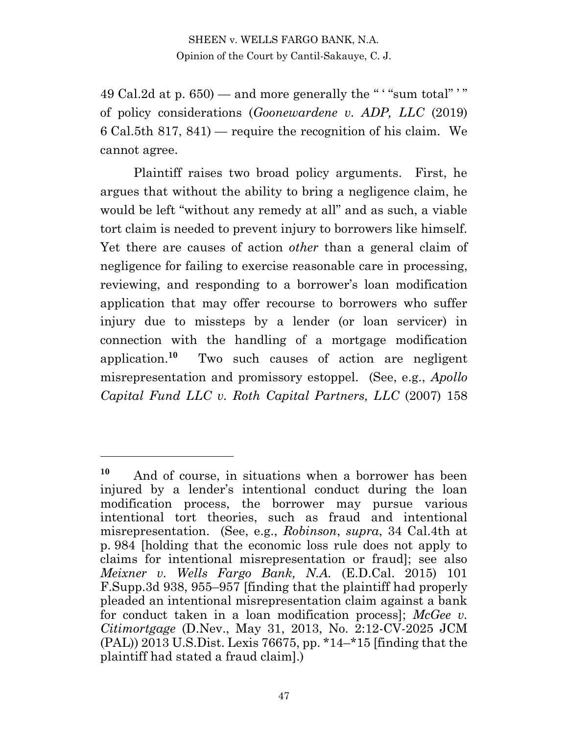49 Cal.2d at p.  $650$  – and more generally the "'"sum total"'" of policy considerations (*Goonewardene v. ADP, LLC* (2019) 6 Cal.5th 817, 841) — require the recognition of his claim. We cannot agree.

Plaintiff raises two broad policy arguments. First, he argues that without the ability to bring a negligence claim, he would be left "without any remedy at all" and as such, a viable tort claim is needed to prevent injury to borrowers like himself. Yet there are causes of action *other* than a general claim of negligence for failing to exercise reasonable care in processing, reviewing, and responding to a borrower's loan modification application that may offer recourse to borrowers who suffer injury due to missteps by a lender (or loan servicer) in connection with the handling of a mortgage modification application.**<sup>10</sup>** Two such causes of action are negligent misrepresentation and promissory estoppel. (See, e.g., *Apollo Capital Fund LLC v. Roth Capital Partners, LLC* (2007) 158

**<sup>10</sup>** And of course, in situations when a borrower has been injured by a lender's intentional conduct during the loan modification process, the borrower may pursue various intentional tort theories, such as fraud and intentional misrepresentation. (See, e.g., *Robinson*, *supra*, 34 Cal.4th at p. 984 [holding that the economic loss rule does not apply to claims for intentional misrepresentation or fraud]; see also *Meixner v. Wells Fargo Bank, N.A.* (E.D.Cal. 2015) 101 F.Supp.3d 938, 955–957 [finding that the plaintiff had properly pleaded an intentional misrepresentation claim against a bank for conduct taken in a loan modification process]; *McGee v. Citimortgage* (D.Nev., May 31, 2013, No. 2:12-CV-2025 JCM (PAL)) 2013 U.S.Dist. Lexis 76675, pp. \*14–\*15 [finding that the plaintiff had stated a fraud claim].)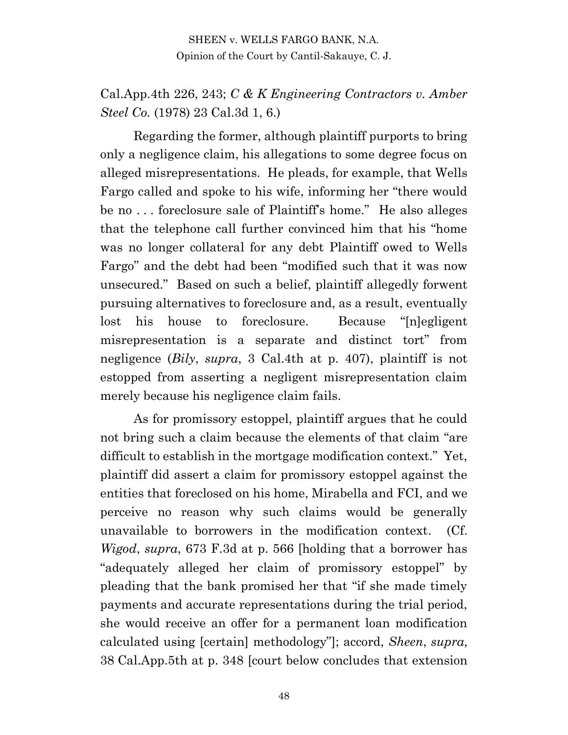## Cal.App.4th 226, 243; *C & K Engineering Contractors v. Amber Steel Co.* (1978) 23 Cal.3d 1, 6.)

Regarding the former, although plaintiff purports to bring only a negligence claim, his allegations to some degree focus on alleged misrepresentations. He pleads, for example, that Wells Fargo called and spoke to his wife, informing her "there would be no . . . foreclosure sale of Plaintiff's home." He also alleges that the telephone call further convinced him that his "home was no longer collateral for any debt Plaintiff owed to Wells Fargo" and the debt had been "modified such that it was now unsecured." Based on such a belief, plaintiff allegedly forwent pursuing alternatives to foreclosure and, as a result, eventually lost his house to foreclosure. Because "[n]egligent misrepresentation is a separate and distinct tort" from negligence (*Bily*, *supra*, 3 Cal.4th at p. 407), plaintiff is not estopped from asserting a negligent misrepresentation claim merely because his negligence claim fails.

As for promissory estoppel, plaintiff argues that he could not bring such a claim because the elements of that claim "are difficult to establish in the mortgage modification context." Yet, plaintiff did assert a claim for promissory estoppel against the entities that foreclosed on his home, Mirabella and FCI, and we perceive no reason why such claims would be generally unavailable to borrowers in the modification context. (Cf. *Wigod*, *supra*, 673 F.3d at p. 566 [holding that a borrower has "adequately alleged her claim of promissory estoppel" by pleading that the bank promised her that "if she made timely payments and accurate representations during the trial period, she would receive an offer for a permanent loan modification calculated using [certain] methodology"]; accord, *Sheen*, *supra*, 38 Cal.App.5th at p. 348 [court below concludes that extension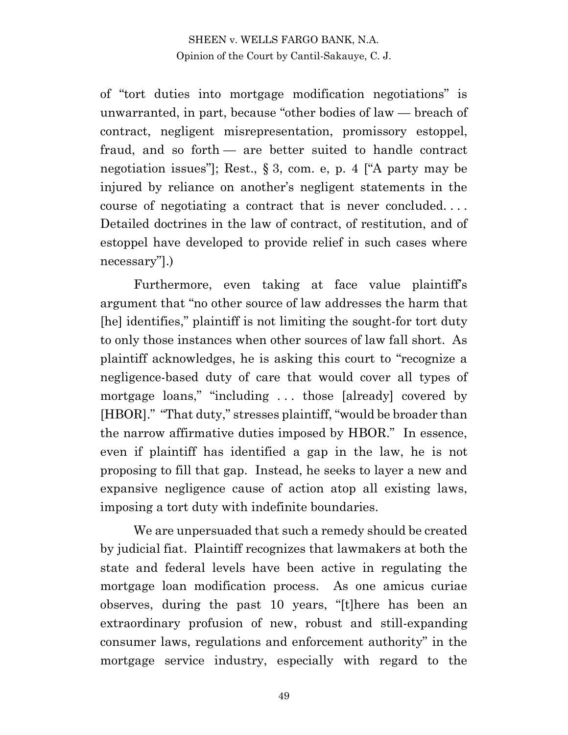of "tort duties into mortgage modification negotiations" is unwarranted, in part, because "other bodies of law — breach of contract, negligent misrepresentation, promissory estoppel, fraud, and so forth — are better suited to handle contract negotiation issues"]; Rest., § 3, com. e, p. 4 ["A party may be injured by reliance on another's negligent statements in the course of negotiating a contract that is never concluded. . . . Detailed doctrines in the law of contract, of restitution, and of estoppel have developed to provide relief in such cases where necessary"].)

Furthermore, even taking at face value plaintiff's argument that "no other source of law addresses the harm that [he] identifies," plaintiff is not limiting the sought-for tort duty to only those instances when other sources of law fall short. As plaintiff acknowledges, he is asking this court to "recognize a negligence-based duty of care that would cover all types of mortgage loans," "including . . . those [already] covered by [HBOR]." "That duty," stresses plaintiff, "would be broader than the narrow affirmative duties imposed by HBOR." In essence, even if plaintiff has identified a gap in the law, he is not proposing to fill that gap. Instead, he seeks to layer a new and expansive negligence cause of action atop all existing laws, imposing a tort duty with indefinite boundaries.

We are unpersuaded that such a remedy should be created by judicial fiat. Plaintiff recognizes that lawmakers at both the state and federal levels have been active in regulating the mortgage loan modification process. As one amicus curiae observes, during the past 10 years, "[t]here has been an extraordinary profusion of new, robust and still-expanding consumer laws, regulations and enforcement authority" in the mortgage service industry, especially with regard to the

49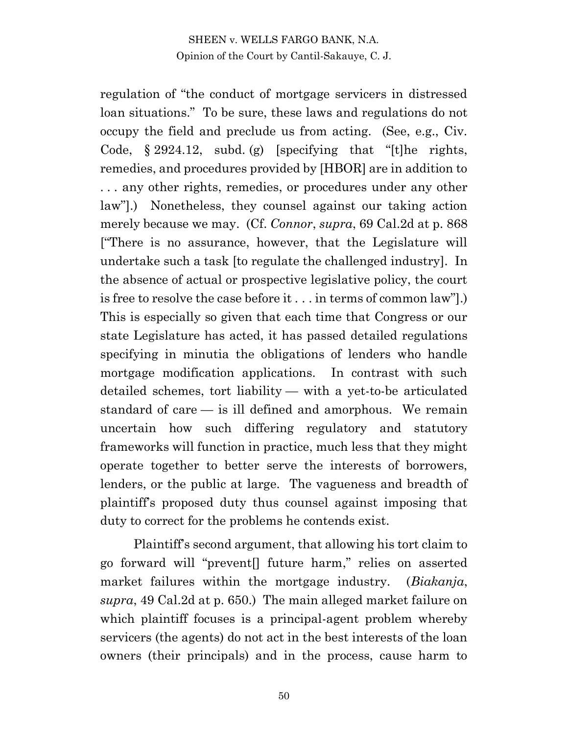regulation of "the conduct of mortgage servicers in distressed loan situations." To be sure, these laws and regulations do not occupy the field and preclude us from acting. (See, e.g., Civ. Code,  $\S 2924.12$ , subd. (g) [specifying that "[t]he rights, remedies, and procedures provided by [HBOR] are in addition to . . . any other rights, remedies, or procedures under any other law"].) Nonetheless, they counsel against our taking action merely because we may. (Cf. *Connor*, *supra*, 69 Cal.2d at p. 868 ["There is no assurance, however, that the Legislature will undertake such a task [to regulate the challenged industry]. In the absence of actual or prospective legislative policy, the court is free to resolve the case before it . . . in terms of common law"].) This is especially so given that each time that Congress or our state Legislature has acted, it has passed detailed regulations specifying in minutia the obligations of lenders who handle mortgage modification applications. In contrast with such detailed schemes, tort liability — with a yet-to-be articulated standard of care — is ill defined and amorphous. We remain uncertain how such differing regulatory and statutory frameworks will function in practice, much less that they might operate together to better serve the interests of borrowers, lenders, or the public at large. The vagueness and breadth of plaintiff's proposed duty thus counsel against imposing that duty to correct for the problems he contends exist.

Plaintiff's second argument, that allowing his tort claim to go forward will "prevent[] future harm," relies on asserted market failures within the mortgage industry. (*Biakanja*, *supra*, 49 Cal.2d at p. 650.) The main alleged market failure on which plaintiff focuses is a principal-agent problem whereby servicers (the agents) do not act in the best interests of the loan owners (their principals) and in the process, cause harm to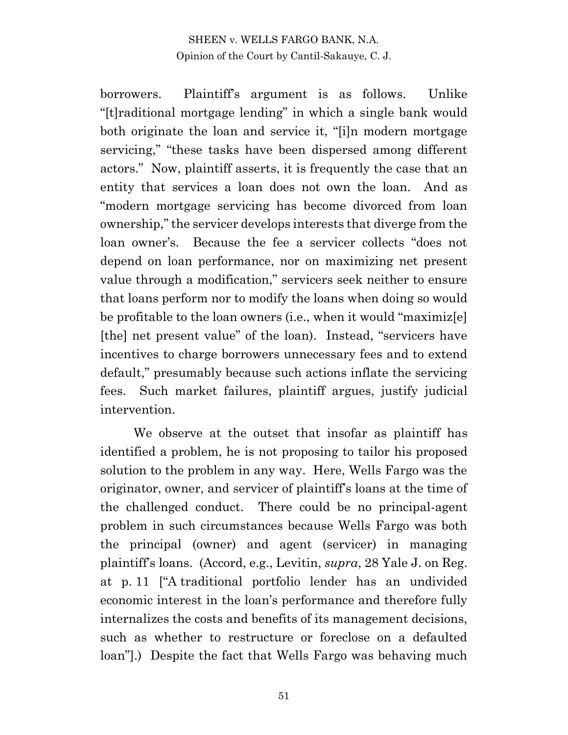borrowers. Plaintiff's argument is as follows. Unlike "[t]raditional mortgage lending" in which a single bank would both originate the loan and service it, "[i]n modern mortgage servicing," "these tasks have been dispersed among different actors." Now, plaintiff asserts, it is frequently the case that an entity that services a loan does not own the loan. And as "modern mortgage servicing has become divorced from loan ownership," the servicer develops interests that diverge from the loan owner's. Because the fee a servicer collects "does not depend on loan performance, nor on maximizing net present value through a modification," servicers seek neither to ensure that loans perform nor to modify the loans when doing so would be profitable to the loan owners (i.e., when it would "maximiz[e] [the] net present value" of the loan). Instead, "servicers have incentives to charge borrowers unnecessary fees and to extend default," presumably because such actions inflate the servicing fees. Such market failures, plaintiff argues, justify judicial intervention.

We observe at the outset that insofar as plaintiff has identified a problem, he is not proposing to tailor his proposed solution to the problem in any way. Here, Wells Fargo was the originator, owner, and servicer of plaintiff's loans at the time of the challenged conduct. There could be no principal-agent problem in such circumstances because Wells Fargo was both the principal (owner) and agent (servicer) in managing plaintiff's loans. (Accord, e.g., Levitin, *supra*, 28 Yale J. on Reg. at p. 11 ["A traditional portfolio lender has an undivided economic interest in the loan's performance and therefore fully internalizes the costs and benefits of its management decisions, such as whether to restructure or foreclose on a defaulted loan"].) Despite the fact that Wells Fargo was behaving much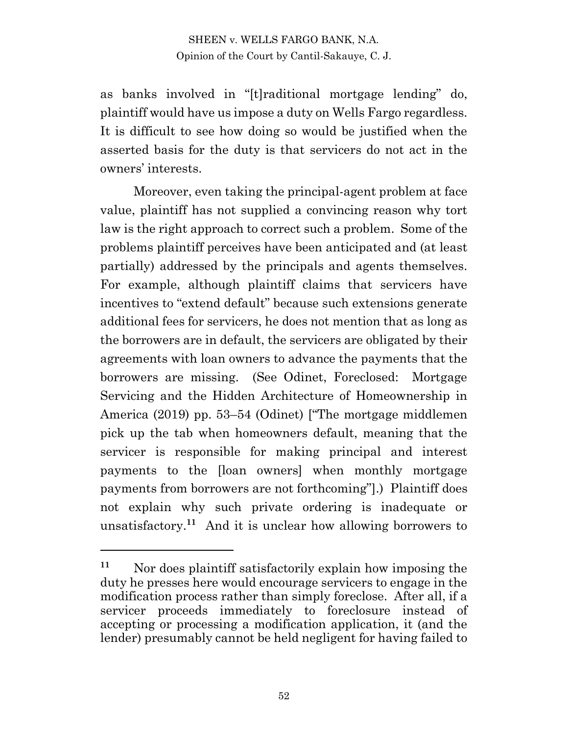as banks involved in "[t]raditional mortgage lending" do, plaintiff would have us impose a duty on Wells Fargo regardless. It is difficult to see how doing so would be justified when the asserted basis for the duty is that servicers do not act in the owners' interests.

Moreover, even taking the principal-agent problem at face value, plaintiff has not supplied a convincing reason why tort law is the right approach to correct such a problem. Some of the problems plaintiff perceives have been anticipated and (at least partially) addressed by the principals and agents themselves. For example, although plaintiff claims that servicers have incentives to "extend default" because such extensions generate additional fees for servicers, he does not mention that as long as the borrowers are in default, the servicers are obligated by their agreements with loan owners to advance the payments that the borrowers are missing. (See Odinet, Foreclosed: Mortgage Servicing and the Hidden Architecture of Homeownership in America (2019) pp. 53–54 (Odinet) ["The mortgage middlemen pick up the tab when homeowners default, meaning that the servicer is responsible for making principal and interest payments to the [loan owners] when monthly mortgage payments from borrowers are not forthcoming"].) Plaintiff does not explain why such private ordering is inadequate or unsatisfactory.**<sup>11</sup>** And it is unclear how allowing borrowers to

**<sup>11</sup>** Nor does plaintiff satisfactorily explain how imposing the duty he presses here would encourage servicers to engage in the modification process rather than simply foreclose. After all, if a servicer proceeds immediately to foreclosure instead of accepting or processing a modification application, it (and the lender) presumably cannot be held negligent for having failed to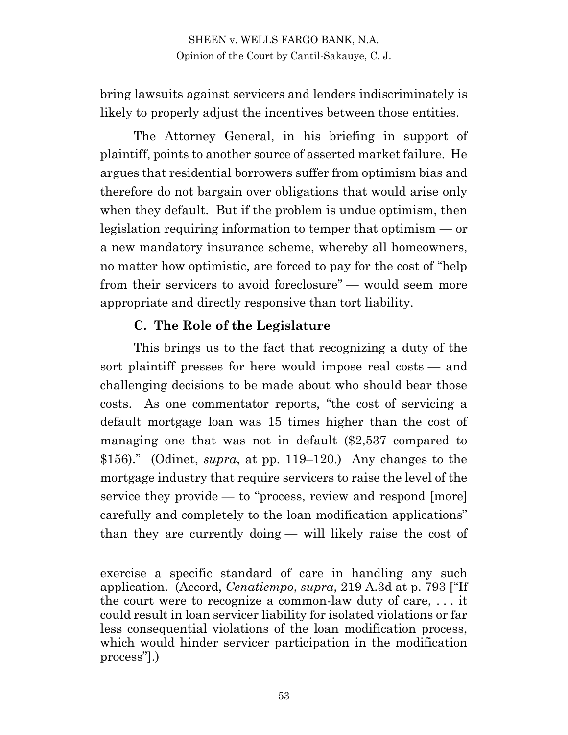bring lawsuits against servicers and lenders indiscriminately is likely to properly adjust the incentives between those entities.

The Attorney General, in his briefing in support of plaintiff, points to another source of asserted market failure. He argues that residential borrowers suffer from optimism bias and therefore do not bargain over obligations that would arise only when they default. But if the problem is undue optimism, then legislation requiring information to temper that optimism — or a new mandatory insurance scheme, whereby all homeowners, no matter how optimistic, are forced to pay for the cost of "help from their servicers to avoid foreclosure" — would seem more appropriate and directly responsive than tort liability.

## **C. The Role of the Legislature**

This brings us to the fact that recognizing a duty of the sort plaintiff presses for here would impose real costs — and challenging decisions to be made about who should bear those costs. As one commentator reports, "the cost of servicing a default mortgage loan was 15 times higher than the cost of managing one that was not in default (\$2,537 compared to \$156)." (Odinet, *supra*, at pp. 119–120.) Any changes to the mortgage industry that require servicers to raise the level of the service they provide — to "process, review and respond [more] carefully and completely to the loan modification applications" than they are currently doing — will likely raise the cost of

exercise a specific standard of care in handling any such application. (Accord, *Cenatiempo*, *supra*, 219 A.3d at p. 793 ["If the court were to recognize a common-law duty of care, . . . it could result in loan servicer liability for isolated violations or far less consequential violations of the loan modification process, which would hinder servicer participation in the modification process"].)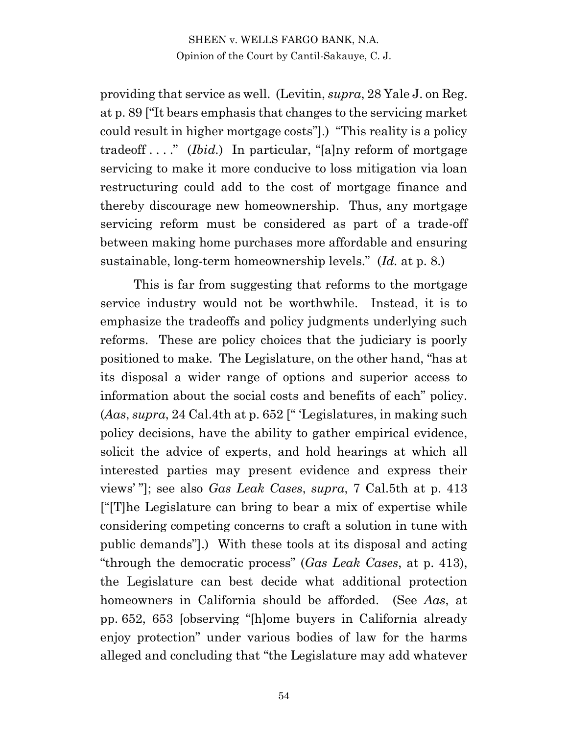providing that service as well. (Levitin, *supra*, 28 Yale J. on Reg. at p. 89 ["It bears emphasis that changes to the servicing market could result in higher mortgage costs"].) "This reality is a policy tradeoff . . . ." (*Ibid.*) In particular, "[a]ny reform of mortgage servicing to make it more conducive to loss mitigation via loan restructuring could add to the cost of mortgage finance and thereby discourage new homeownership. Thus, any mortgage servicing reform must be considered as part of a trade-off between making home purchases more affordable and ensuring sustainable, long-term homeownership levels." (*Id.* at p. 8.)

This is far from suggesting that reforms to the mortgage service industry would not be worthwhile. Instead, it is to emphasize the tradeoffs and policy judgments underlying such reforms. These are policy choices that the judiciary is poorly positioned to make. The Legislature, on the other hand, "has at its disposal a wider range of options and superior access to information about the social costs and benefits of each" policy. (*Aas*, *supra*, 24 Cal.4th at p. 652 [" 'Legislatures, in making such policy decisions, have the ability to gather empirical evidence, solicit the advice of experts, and hold hearings at which all interested parties may present evidence and express their views' "]; see also *Gas Leak Cases*, *supra*, 7 Cal.5th at p. 413 ["[T]he Legislature can bring to bear a mix of expertise while considering competing concerns to craft a solution in tune with public demands"].) With these tools at its disposal and acting "through the democratic process" (*Gas Leak Cases*, at p. 413), the Legislature can best decide what additional protection homeowners in California should be afforded. (See *Aas*, at pp. 652, 653 [observing "[h]ome buyers in California already enjoy protection" under various bodies of law for the harms alleged and concluding that "the Legislature may add whatever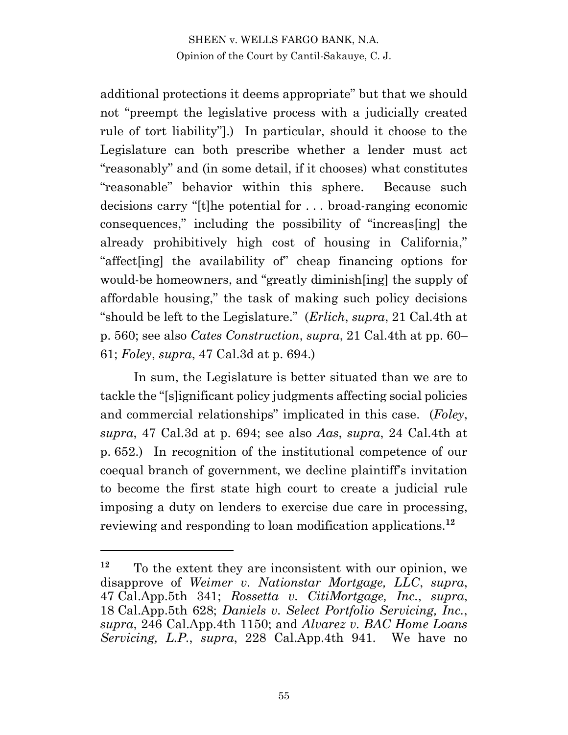additional protections it deems appropriate" but that we should not "preempt the legislative process with a judicially created rule of tort liability"].) In particular, should it choose to the Legislature can both prescribe whether a lender must act "reasonably" and (in some detail, if it chooses) what constitutes "reasonable" behavior within this sphere. Because such decisions carry "[t]he potential for . . . broad-ranging economic consequences," including the possibility of "increas[ing] the already prohibitively high cost of housing in California," "affect[ing] the availability of" cheap financing options for would-be homeowners, and "greatly diminish[ing] the supply of affordable housing," the task of making such policy decisions "should be left to the Legislature." (*Erlich*, *supra*, 21 Cal.4th at p. 560; see also *Cates Construction*, *supra*, 21 Cal.4th at pp. 60– 61; *Foley*, *supra*, 47 Cal.3d at p. 694.)

In sum, the Legislature is better situated than we are to tackle the "[s]ignificant policy judgments affecting social policies and commercial relationships" implicated in this case. (*Foley*, *supra*, 47 Cal.3d at p. 694; see also *Aas*, *supra*, 24 Cal.4th at p. 652.) In recognition of the institutional competence of our coequal branch of government, we decline plaintiff's invitation to become the first state high court to create a judicial rule imposing a duty on lenders to exercise due care in processing, reviewing and responding to loan modification applications.**<sup>12</sup>**

**<sup>12</sup>** To the extent they are inconsistent with our opinion, we disapprove of *Weimer v. Nationstar Mortgage, LLC*, *supra*, 47 Cal.App.5th 341; *Rossetta v. CitiMortgage, Inc.*, *supra*, 18 Cal.App.5th 628; *Daniels v. Select Portfolio Servicing, Inc.*, *supra*, 246 Cal.App.4th 1150; and *Alvarez v. BAC Home Loans Servicing, L.P.*, *supra*, 228 Cal.App.4th 941. We have no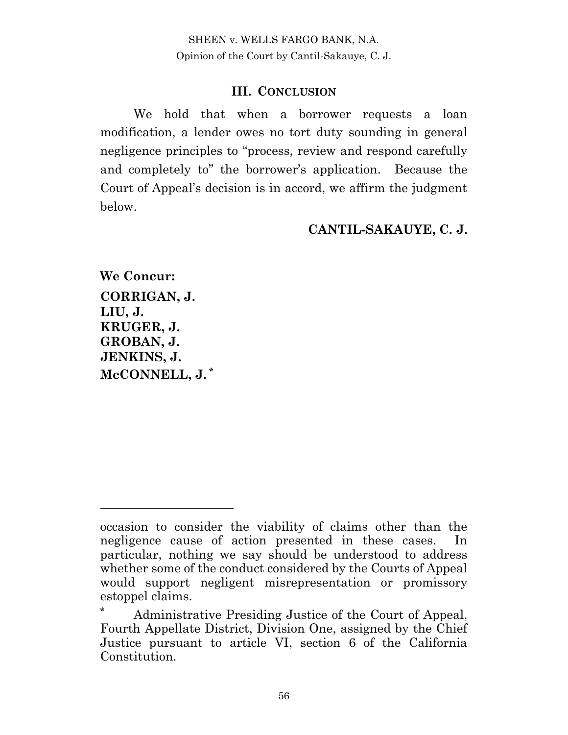#### **III. CONCLUSION**

We hold that when a borrower requests a loan modification, a lender owes no tort duty sounding in general negligence principles to "process, review and respond carefully and completely to" the borrower's application. Because the Court of Appeal's decision is in accord, we affirm the judgment below.

#### **CANTIL-SAKAUYE, C. J.**

**We Concur: CORRIGAN, J. LIU, J. KRUGER, J. GROBAN, J. JENKINS, J. McCONNELL, J. \***

occasion to consider the viability of claims other than the negligence cause of action presented in these cases. In particular, nothing we say should be understood to address whether some of the conduct considered by the Courts of Appeal would support negligent misrepresentation or promissory estoppel claims.

**<sup>\*</sup>** Administrative Presiding Justice of the Court of Appeal, Fourth Appellate District, Division One, assigned by the Chief Justice pursuant to article VI, section 6 of the California Constitution.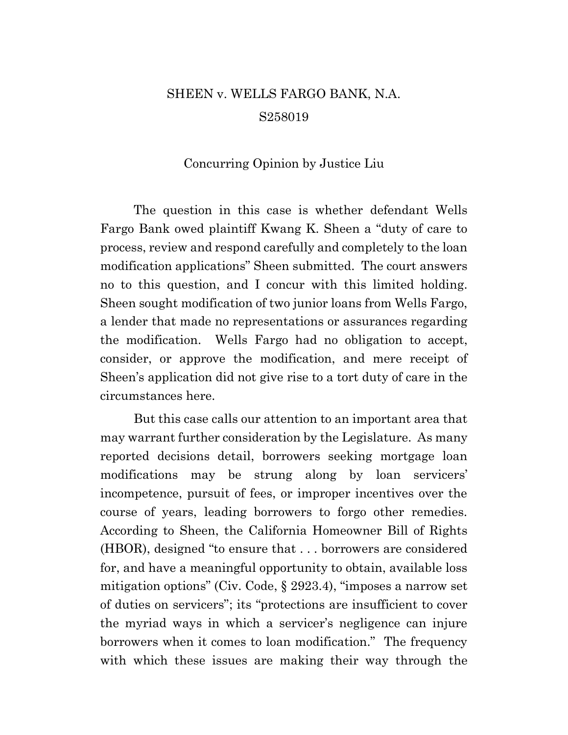# SHEEN v. WELLS FARGO BANK, N.A. S258019

#### Concurring Opinion by Justice Liu

The question in this case is whether defendant Wells Fargo Bank owed plaintiff Kwang K. Sheen a "duty of care to process, review and respond carefully and completely to the loan modification applications" Sheen submitted. The court answers no to this question, and I concur with this limited holding. Sheen sought modification of two junior loans from Wells Fargo, a lender that made no representations or assurances regarding the modification. Wells Fargo had no obligation to accept, consider, or approve the modification, and mere receipt of Sheen's application did not give rise to a tort duty of care in the circumstances here.

But this case calls our attention to an important area that may warrant further consideration by the Legislature. As many reported decisions detail, borrowers seeking mortgage loan modifications may be strung along by loan servicers' incompetence, pursuit of fees, or improper incentives over the course of years, leading borrowers to forgo other remedies. According to Sheen, the California Homeowner Bill of Rights (HBOR), designed "to ensure that . . . borrowers are considered for, and have a meaningful opportunity to obtain, available loss mitigation options" (Civ. Code, § 2923.4), "imposes a narrow set of duties on servicers"; its "protections are insufficient to cover the myriad ways in which a servicer's negligence can injure borrowers when it comes to loan modification." The frequency with which these issues are making their way through the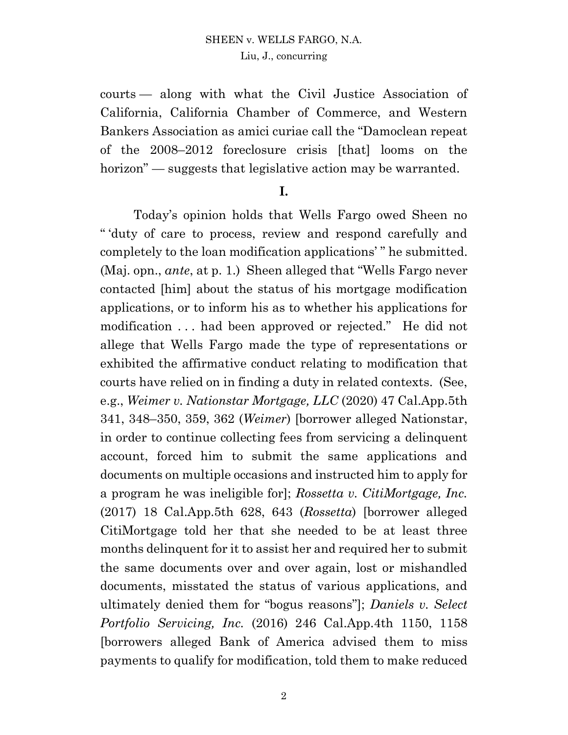courts — along with what the Civil Justice Association of California, California Chamber of Commerce, and Western Bankers Association as amici curiae call the "Damoclean repeat of the 2008–2012 foreclosure crisis [that] looms on the horizon" — suggests that legislative action may be warranted.

#### **I.**

Today's opinion holds that Wells Fargo owed Sheen no " 'duty of care to process, review and respond carefully and completely to the loan modification applications' " he submitted. (Maj. opn., *ante*, at p. 1.) Sheen alleged that "Wells Fargo never contacted [him] about the status of his mortgage modification applications, or to inform his as to whether his applications for modification . . . had been approved or rejected." He did not allege that Wells Fargo made the type of representations or exhibited the affirmative conduct relating to modification that courts have relied on in finding a duty in related contexts. (See, e.g., *Weimer v. Nationstar Mortgage, LLC* (2020) 47 Cal.App.5th 341, 348–350, 359, 362 (*Weimer*) [borrower alleged Nationstar, in order to continue collecting fees from servicing a delinquent account, forced him to submit the same applications and documents on multiple occasions and instructed him to apply for a program he was ineligible for]; *Rossetta v. CitiMortgage, Inc.* (2017) 18 Cal.App.5th 628, 643 (*Rossetta*) [borrower alleged CitiMortgage told her that she needed to be at least three months delinquent for it to assist her and required her to submit the same documents over and over again, lost or mishandled documents, misstated the status of various applications, and ultimately denied them for "bogus reasons"]; *Daniels v. Select Portfolio Servicing, Inc.* (2016) 246 Cal.App.4th 1150, 1158 [borrowers alleged Bank of America advised them to miss payments to qualify for modification, told them to make reduced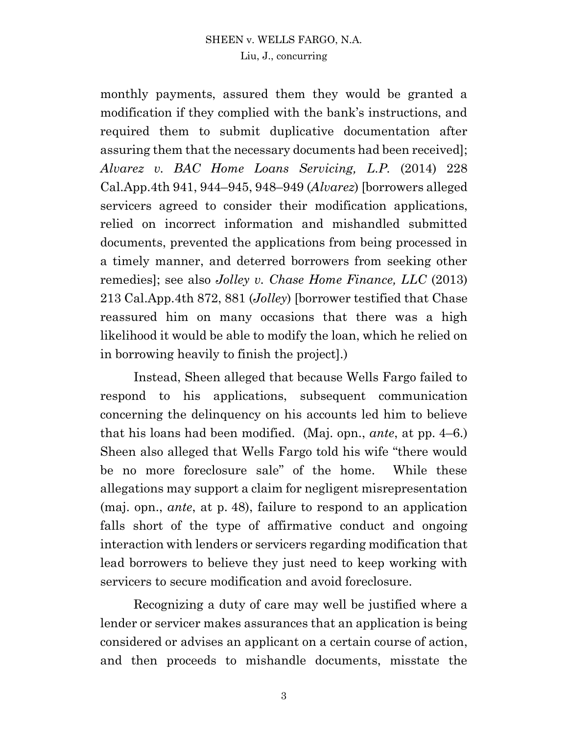monthly payments, assured them they would be granted a modification if they complied with the bank's instructions, and required them to submit duplicative documentation after assuring them that the necessary documents had been received]; *Alvarez v. BAC Home Loans Servicing, L.P.* (2014) 228 Cal.App.4th 941, 944–945, 948–949 (*Alvarez*) [borrowers alleged servicers agreed to consider their modification applications, relied on incorrect information and mishandled submitted documents, prevented the applications from being processed in a timely manner, and deterred borrowers from seeking other remedies]; see also *Jolley v. Chase Home Finance, LLC* (2013) 213 Cal.App.4th 872, 881 (*Jolley*) [borrower testified that Chase reassured him on many occasions that there was a high likelihood it would be able to modify the loan, which he relied on in borrowing heavily to finish the project].)

Instead, Sheen alleged that because Wells Fargo failed to respond to his applications, subsequent communication concerning the delinquency on his accounts led him to believe that his loans had been modified. (Maj. opn., *ante*, at pp. 4–6.) Sheen also alleged that Wells Fargo told his wife "there would be no more foreclosure sale" of the home. While these allegations may support a claim for negligent misrepresentation (maj. opn., *ante*, at p. 48), failure to respond to an application falls short of the type of affirmative conduct and ongoing interaction with lenders or servicers regarding modification that lead borrowers to believe they just need to keep working with servicers to secure modification and avoid foreclosure.

Recognizing a duty of care may well be justified where a lender or servicer makes assurances that an application is being considered or advises an applicant on a certain course of action, and then proceeds to mishandle documents, misstate the

3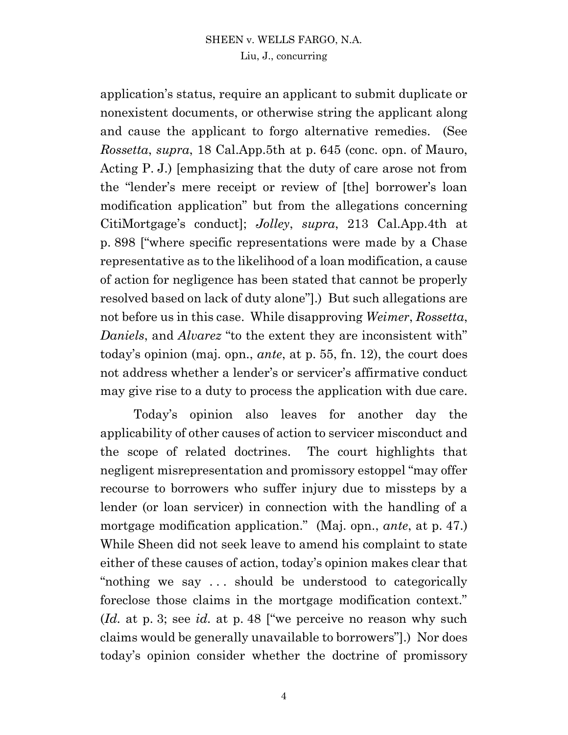application's status, require an applicant to submit duplicate or nonexistent documents, or otherwise string the applicant along and cause the applicant to forgo alternative remedies. (See *Rossetta*, *supra*, 18 Cal.App.5th at p. 645 (conc. opn. of Mauro, Acting P. J.) [emphasizing that the duty of care arose not from the "lender's mere receipt or review of [the] borrower's loan modification application" but from the allegations concerning CitiMortgage's conduct]; *Jolley*, *supra*, 213 Cal.App.4th at p. 898 ["where specific representations were made by a Chase representative as to the likelihood of a loan modification, a cause of action for negligence has been stated that cannot be properly resolved based on lack of duty alone"].) But such allegations are not before us in this case. While disapproving *Weimer*, *Rossetta*, *Daniels*, and *Alvarez* "to the extent they are inconsistent with" today's opinion (maj. opn., *ante*, at p. 55, fn. 12), the court does not address whether a lender's or servicer's affirmative conduct may give rise to a duty to process the application with due care.

Today's opinion also leaves for another day the applicability of other causes of action to servicer misconduct and the scope of related doctrines. The court highlights that negligent misrepresentation and promissory estoppel "may offer recourse to borrowers who suffer injury due to missteps by a lender (or loan servicer) in connection with the handling of a mortgage modification application." (Maj. opn., *ante*, at p. 47.) While Sheen did not seek leave to amend his complaint to state either of these causes of action, today's opinion makes clear that "nothing we say . . . should be understood to categorically foreclose those claims in the mortgage modification context." (*Id.* at p. 3; see *id.* at p. 48 ["we perceive no reason why such claims would be generally unavailable to borrowers"].) Nor does today's opinion consider whether the doctrine of promissory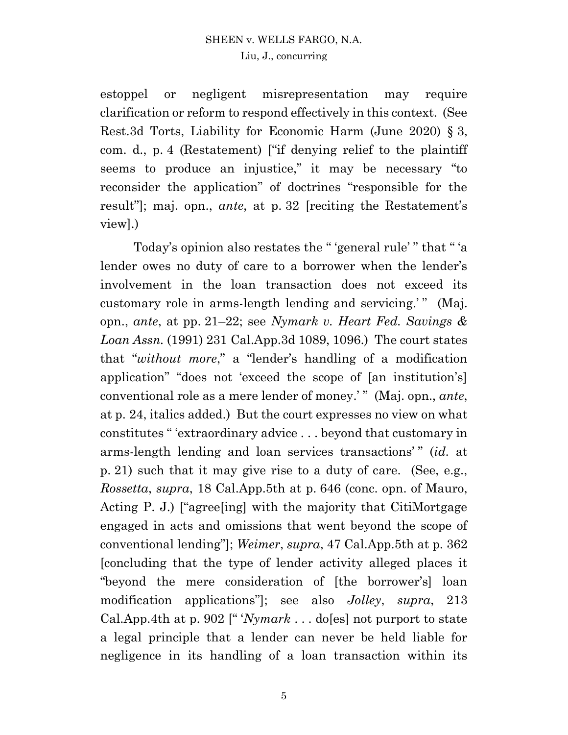estoppel or negligent misrepresentation may require clarification or reform to respond effectively in this context. (See Rest.3d Torts, Liability for Economic Harm (June 2020) § 3, com. d., p. 4 (Restatement) ["if denying relief to the plaintiff seems to produce an injustice," it may be necessary "to reconsider the application" of doctrines "responsible for the result"]; maj. opn., *ante*, at p. 32 [reciting the Restatement's view].)

Today's opinion also restates the " 'general rule' " that " 'a lender owes no duty of care to a borrower when the lender's involvement in the loan transaction does not exceed its customary role in arms-length lending and servicing.'" (Maj. opn., *ante*, at pp. 21–22; see *Nymark v. Heart Fed. Savings & Loan Assn.* (1991) 231 Cal.App.3d 1089, 1096.) The court states that "*without more*," a "lender's handling of a modification application" "does not 'exceed the scope of [an institution's] conventional role as a mere lender of money.' " (Maj. opn., *ante*, at p. 24, italics added.) But the court expresses no view on what constitutes " 'extraordinary advice . . . beyond that customary in arms-length lending and loan services transactions'" *(id.* at p. 21) such that it may give rise to a duty of care. (See, e.g., *Rossetta*, *supra*, 18 Cal.App.5th at p. 646 (conc. opn. of Mauro, Acting P. J.) ["agree[ing] with the majority that CitiMortgage engaged in acts and omissions that went beyond the scope of conventional lending"]; *Weimer*, *supra*, 47 Cal.App.5th at p. 362 [concluding that the type of lender activity alleged places it "beyond the mere consideration of [the borrower's] loan modification applications"]; see also *Jolley*, *supra*, 213 Cal.App.4th at p. 902 [" '*Nymark* . . . do[es] not purport to state a legal principle that a lender can never be held liable for negligence in its handling of a loan transaction within its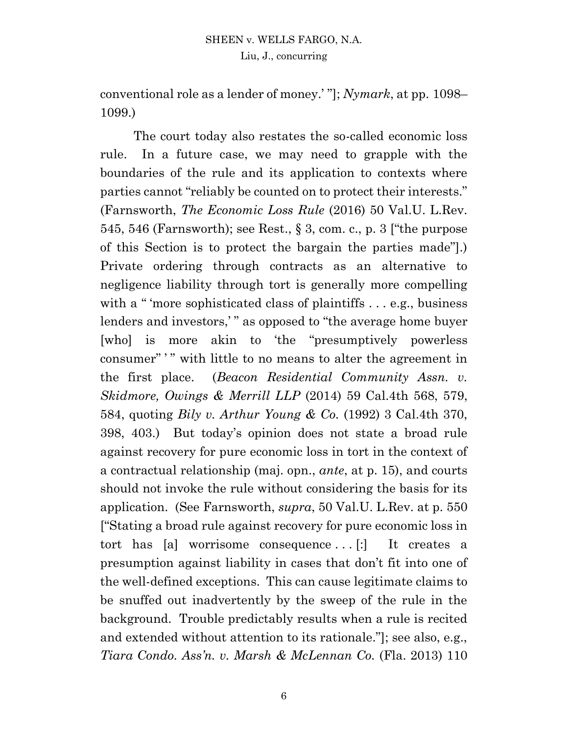conventional role as a lender of money.' "]; *Nymark*, at pp. 1098– 1099.)

The court today also restates the so-called economic loss rule. In a future case, we may need to grapple with the boundaries of the rule and its application to contexts where parties cannot "reliably be counted on to protect their interests." (Farnsworth, *The Economic Loss Rule* (2016) 50 Val.U. L.Rev. 545, 546 (Farnsworth); see Rest., § 3, com. c., p. 3 ["the purpose of this Section is to protect the bargain the parties made"].) Private ordering through contracts as an alternative to negligence liability through tort is generally more compelling with a " 'more sophisticated class of plaintiffs . . . e.g., business lenders and investors," as opposed to "the average home buyer" [who] is more akin to 'the "presumptively powerless consumer" '" with little to no means to alter the agreement in the first place. (*Beacon Residential Community Assn. v. Skidmore, Owings & Merrill LLP* (2014) 59 Cal.4th 568, 579, 584, quoting *Bily v. Arthur Young & Co.* (1992) 3 Cal.4th 370, 398, 403.) But today's opinion does not state a broad rule against recovery for pure economic loss in tort in the context of a contractual relationship (maj. opn., *ante*, at p. 15), and courts should not invoke the rule without considering the basis for its application. (See Farnsworth, *supra*, 50 Val.U. L.Rev. at p. 550 ["Stating a broad rule against recovery for pure economic loss in tort has [a] worrisome consequence ... [:] It creates a presumption against liability in cases that don't fit into one of the well-defined exceptions. This can cause legitimate claims to be snuffed out inadvertently by the sweep of the rule in the background. Trouble predictably results when a rule is recited and extended without attention to its rationale."]; see also, e.g., *Tiara Condo. Ass'n. v. Marsh & McLennan Co.* (Fla. 2013) 110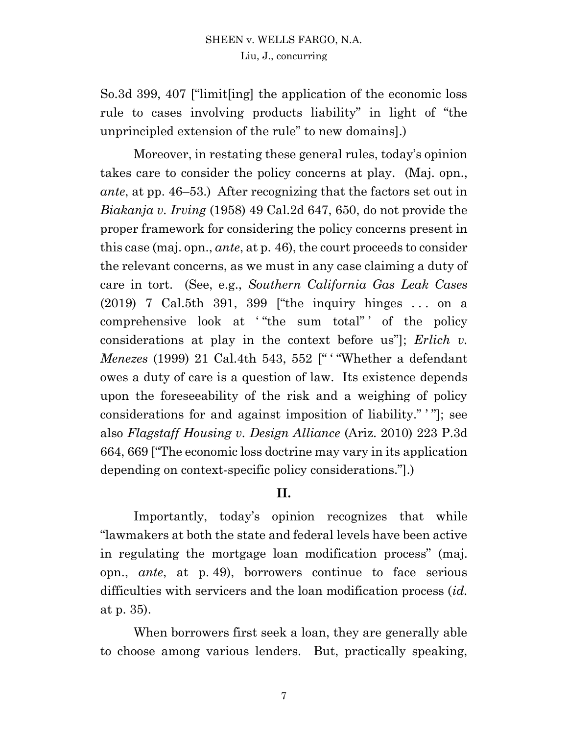So.3d 399, 407 ["limit[ing] the application of the economic loss rule to cases involving products liability" in light of "the unprincipled extension of the rule" to new domains].)

Moreover, in restating these general rules, today's opinion takes care to consider the policy concerns at play. (Maj. opn., *ante*, at pp. 46–53.) After recognizing that the factors set out in *Biakanja v. Irving* (1958) 49 Cal.2d 647, 650, do not provide the proper framework for considering the policy concerns present in this case (maj. opn., *ante*, at p. 46), the court proceeds to consider the relevant concerns, as we must in any case claiming a duty of care in tort. (See, e.g., *Southern California Gas Leak Cases* (2019) 7 Cal.5th 391, 399 ["the inquiry hinges . . . on a comprehensive look at ' "the sum total" ' of the policy considerations at play in the context before us"]; *Erlich v. Menezes* (1999) 21 Cal.4th 543, 552 [" ' "Whether a defendant owes a duty of care is a question of law. Its existence depends upon the foreseeability of the risk and a weighing of policy considerations for and against imposition of liability." ' "]; see also *Flagstaff Housing v. Design Alliance* (Ariz. 2010) 223 P.3d 664, 669 ["The economic loss doctrine may vary in its application depending on context-specific policy considerations."].)

## **II.**

Importantly, today's opinion recognizes that while "lawmakers at both the state and federal levels have been active in regulating the mortgage loan modification process" (maj. opn., *ante*, at p. 49), borrowers continue to face serious difficulties with servicers and the loan modification process (*id.* at p. 35).

When borrowers first seek a loan, they are generally able to choose among various lenders. But, practically speaking,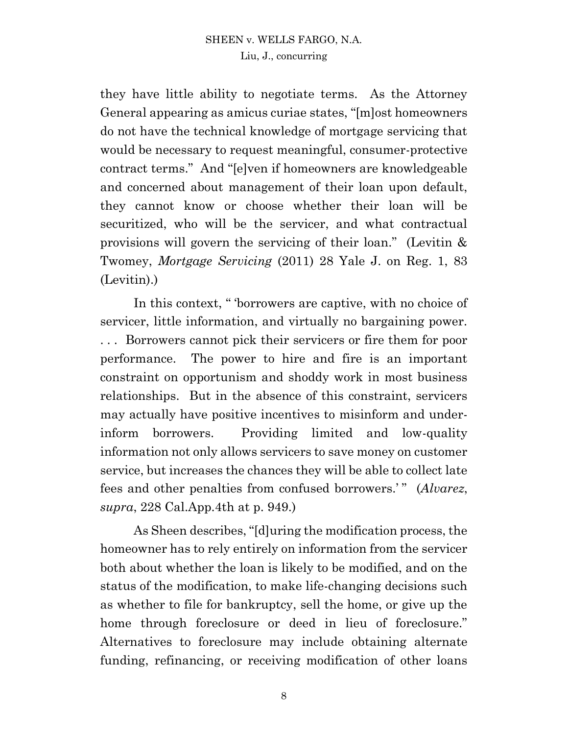they have little ability to negotiate terms. As the Attorney General appearing as amicus curiae states, "[m]ost homeowners do not have the technical knowledge of mortgage servicing that would be necessary to request meaningful, consumer-protective contract terms." And "[e]ven if homeowners are knowledgeable and concerned about management of their loan upon default, they cannot know or choose whether their loan will be securitized, who will be the servicer, and what contractual provisions will govern the servicing of their loan." (Levitin & Twomey, *Mortgage Servicing* (2011) 28 Yale J. on Reg. 1, 83 (Levitin).)

In this context, " 'borrowers are captive, with no choice of servicer, little information, and virtually no bargaining power. . . . Borrowers cannot pick their servicers or fire them for poor performance. The power to hire and fire is an important constraint on opportunism and shoddy work in most business relationships. But in the absence of this constraint, servicers may actually have positive incentives to misinform and underinform borrowers. Providing limited and low-quality information not only allows servicers to save money on customer service, but increases the chances they will be able to collect late fees and other penalties from confused borrowers.'" (*Alvarez*, *supra*, 228 Cal.App.4th at p. 949.)

As Sheen describes, "[d]uring the modification process, the homeowner has to rely entirely on information from the servicer both about whether the loan is likely to be modified, and on the status of the modification, to make life-changing decisions such as whether to file for bankruptcy, sell the home, or give up the home through foreclosure or deed in lieu of foreclosure." Alternatives to foreclosure may include obtaining alternate funding, refinancing, or receiving modification of other loans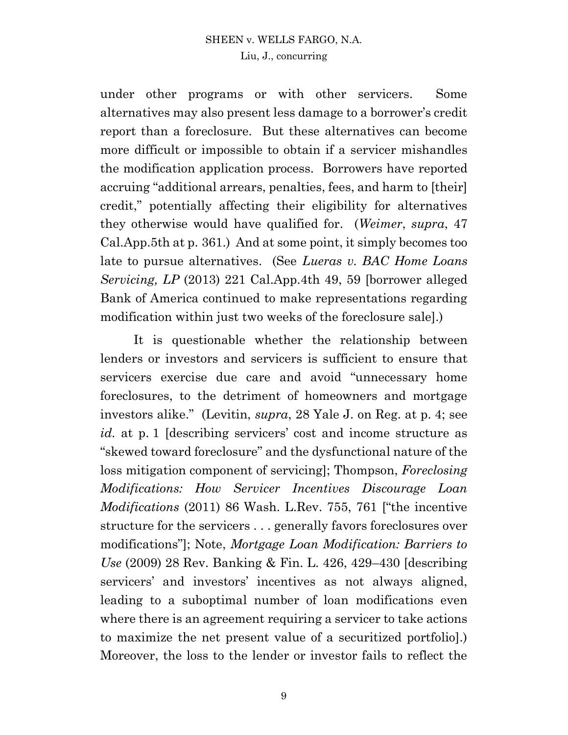# SHEEN v. WELLS FARGO, N.A.

Liu, J., concurring

under other programs or with other servicers. Some alternatives may also present less damage to a borrower's credit report than a foreclosure. But these alternatives can become more difficult or impossible to obtain if a servicer mishandles the modification application process. Borrowers have reported accruing "additional arrears, penalties, fees, and harm to [their] credit," potentially affecting their eligibility for alternatives they otherwise would have qualified for. (*Weimer*, *supra*, 47 Cal.App.5th at p. 361.) And at some point, it simply becomes too late to pursue alternatives. (See *Lueras v. BAC Home Loans Servicing, LP* (2013) 221 Cal.App.4th 49, 59 [borrower alleged Bank of America continued to make representations regarding modification within just two weeks of the foreclosure sale].)

It is questionable whether the relationship between lenders or investors and servicers is sufficient to ensure that servicers exercise due care and avoid "unnecessary home foreclosures, to the detriment of homeowners and mortgage investors alike." (Levitin, *supra*, 28 Yale J. on Reg. at p. 4; see *id.* at p. 1 [describing servicers' cost and income structure as "skewed toward foreclosure" and the dysfunctional nature of the loss mitigation component of servicing]; Thompson, *Foreclosing Modifications: How Servicer Incentives Discourage Loan Modifications* (2011) 86 Wash. L.Rev. 755, 761 ["the incentive structure for the servicers . . . generally favors foreclosures over modifications"]; Note, *Mortgage Loan Modification: Barriers to Use* (2009) 28 Rev. Banking & Fin. L. 426, 429–430 [describing servicers' and investors' incentives as not always aligned, leading to a suboptimal number of loan modifications even where there is an agreement requiring a servicer to take actions to maximize the net present value of a securitized portfolio].) Moreover, the loss to the lender or investor fails to reflect the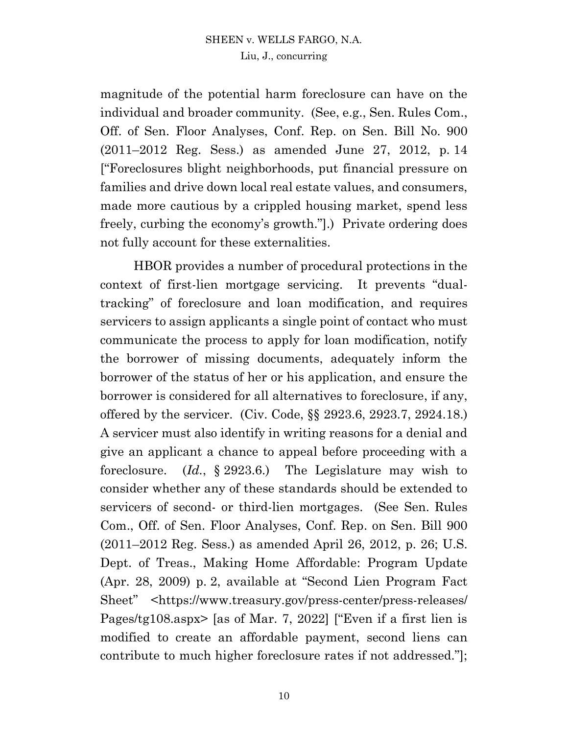magnitude of the potential harm foreclosure can have on the individual and broader community. (See, e.g., Sen. Rules Com., Off. of Sen. Floor Analyses, Conf. Rep. on Sen. Bill No. 900 (2011–2012 Reg. Sess.) as amended June 27, 2012, p. 14 ["Foreclosures blight neighborhoods, put financial pressure on families and drive down local real estate values, and consumers, made more cautious by a crippled housing market, spend less freely, curbing the economy's growth."].) Private ordering does not fully account for these externalities.

HBOR provides a number of procedural protections in the context of first-lien mortgage servicing. It prevents "dualtracking" of foreclosure and loan modification, and requires servicers to assign applicants a single point of contact who must communicate the process to apply for loan modification, notify the borrower of missing documents, adequately inform the borrower of the status of her or his application, and ensure the borrower is considered for all alternatives to foreclosure, if any, offered by the servicer. (Civ. Code, §§ 2923.6, 2923.7, 2924.18.) A servicer must also identify in writing reasons for a denial and give an applicant a chance to appeal before proceeding with a foreclosure. (*Id.*, § 2923.6.) The Legislature may wish to consider whether any of these standards should be extended to servicers of second- or third-lien mortgages. (See Sen. Rules Com., Off. of Sen. Floor Analyses, Conf. Rep. on Sen. Bill 900 (2011–2012 Reg. Sess.) as amended April 26, 2012, p. 26; U.S. Dept. of Treas., Making Home Affordable: Program Update (Apr. 28, 2009) p. 2, available at "Second Lien Program Fact Sheet" <https://www.treasury.gov/press-center/press-releases/ Pages/tg108.aspx> [as of Mar. 7, 2022] ["Even if a first lien is modified to create an affordable payment, second liens can contribute to much higher foreclosure rates if not addressed."];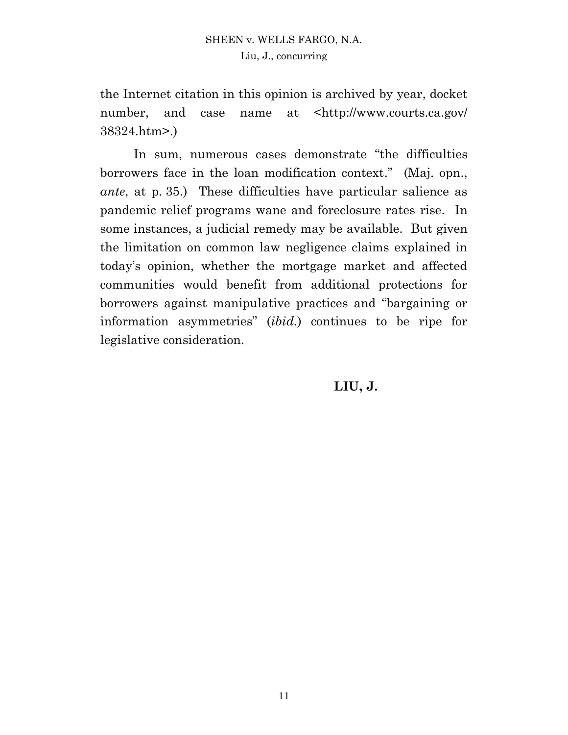the Internet citation in this opinion is archived by year, docket number, and case name at <http://www.courts.ca.gov/ 38324.htm>.)

In sum, numerous cases demonstrate "the difficulties borrowers face in the loan modification context." (Maj. opn., *ante*, at p. 35.) These difficulties have particular salience as pandemic relief programs wane and foreclosure rates rise. In some instances, a judicial remedy may be available. But given the limitation on common law negligence claims explained in today's opinion, whether the mortgage market and affected communities would benefit from additional protections for borrowers against manipulative practices and "bargaining or information asymmetries" (*ibid.*) continues to be ripe for legislative consideration.

**LIU, J.**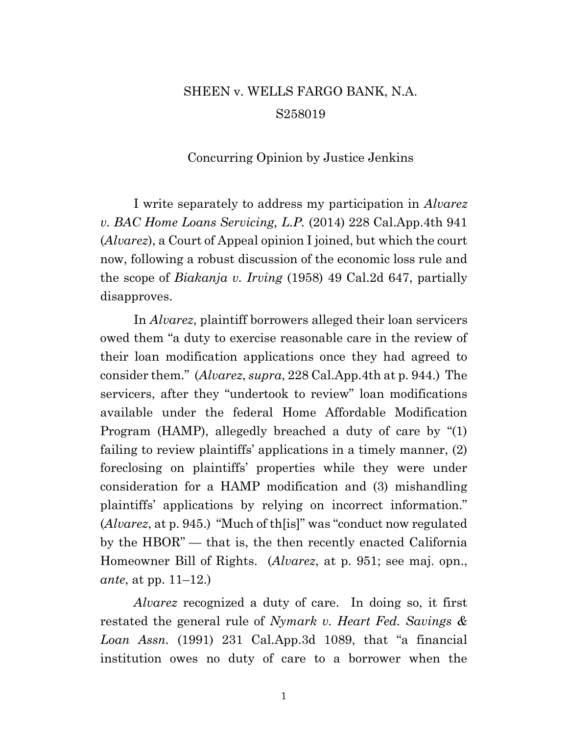# SHEEN v. WELLS FARGO BANK, N.A. S258019

#### Concurring Opinion by Justice Jenkins

I write separately to address my participation in *Alvarez v. BAC Home Loans Servicing, L.P.* (2014) 228 Cal.App.4th 941 (*Alvarez*), a Court of Appeal opinion I joined, but which the court now, following a robust discussion of the economic loss rule and the scope of *Biakanja v. Irving* (1958) 49 Cal.2d 647, partially disapproves.

In *Alvarez*, plaintiff borrowers alleged their loan servicers owed them "a duty to exercise reasonable care in the review of their loan modification applications once they had agreed to consider them." (*Alvarez*, *supra*, 228 Cal.App.4th at p. 944.) The servicers, after they "undertook to review" loan modifications available under the federal Home Affordable Modification Program (HAMP), allegedly breached a duty of care by "(1) failing to review plaintiffs' applications in a timely manner, (2) foreclosing on plaintiffs' properties while they were under consideration for a HAMP modification and (3) mishandling plaintiffs' applications by relying on incorrect information." (*Alvarez*, at p. 945.) "Much of th[is]" was "conduct now regulated by the HBOR" — that is, the then recently enacted California Homeowner Bill of Rights. (*Alvarez*, at p. 951; see maj. opn., *ante*, at pp. 11–12.)

*Alvarez* recognized a duty of care. In doing so, it first restated the general rule of *Nymark v. Heart Fed. Savings & Loan Assn.* (1991) 231 Cal.App.3d 1089, that "a financial institution owes no duty of care to a borrower when the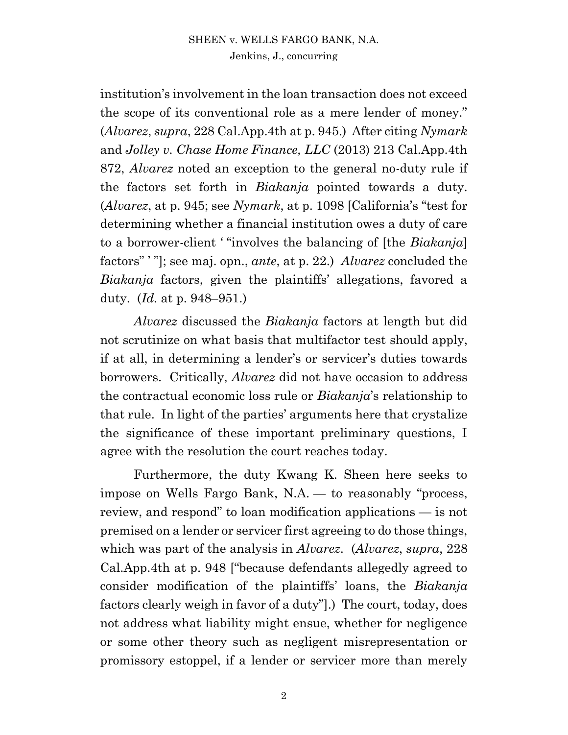#### SHEEN v. WELLS FARGO BANK, N.A. Jenkins, J., concurring

institution's involvement in the loan transaction does not exceed the scope of its conventional role as a mere lender of money." (*Alvarez*, *supra*, 228 Cal.App.4th at p. 945.) After citing *Nymark* and *Jolley v. Chase Home Finance, LLC* (2013) 213 Cal.App.4th 872, *Alvarez* noted an exception to the general no-duty rule if the factors set forth in *Biakanja* pointed towards a duty. (*Alvarez*, at p. 945; see *Nymark*, at p. 1098 [California's "test for determining whether a financial institution owes a duty of care to a borrower-client ' "involves the balancing of [the *Biakanja*] factors" ' "]; see maj. opn., *ante*, at p. 22.) *Alvarez* concluded the *Biakanja* factors, given the plaintiffs' allegations, favored a duty. (*Id.* at p. 948–951.)

*Alvarez* discussed the *Biakanja* factors at length but did not scrutinize on what basis that multifactor test should apply, if at all, in determining a lender's or servicer's duties towards borrowers. Critically, *Alvarez* did not have occasion to address the contractual economic loss rule or *Biakanja*'s relationship to that rule. In light of the parties' arguments here that crystalize the significance of these important preliminary questions, I agree with the resolution the court reaches today.

Furthermore, the duty Kwang K. Sheen here seeks to impose on Wells Fargo Bank, N.A. — to reasonably "process, review, and respond" to loan modification applications — is not premised on a lender or servicer first agreeing to do those things, which was part of the analysis in *Alvarez*. (*Alvarez*, *supra*, 228 Cal.App.4th at p. 948 ["because defendants allegedly agreed to consider modification of the plaintiffs' loans, the *Biakanja* factors clearly weigh in favor of a duty"].) The court, today, does not address what liability might ensue, whether for negligence or some other theory such as negligent misrepresentation or promissory estoppel, if a lender or servicer more than merely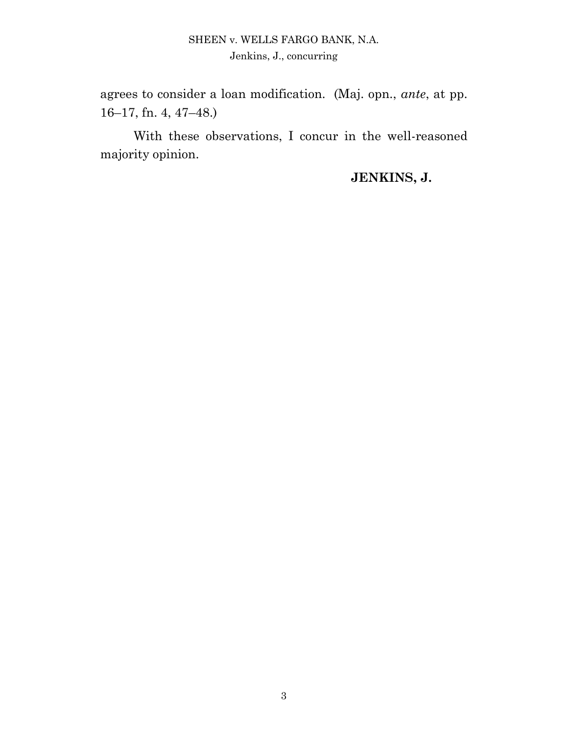## SHEEN v. WELLS FARGO BANK, N.A. Jenkins, J., concurring

agrees to consider a loan modification. (Maj. opn., *ante*, at pp. 16–17, fn. 4, 47–48.)

With these observations, I concur in the well-reasoned majority opinion.

## **JENKINS, J.**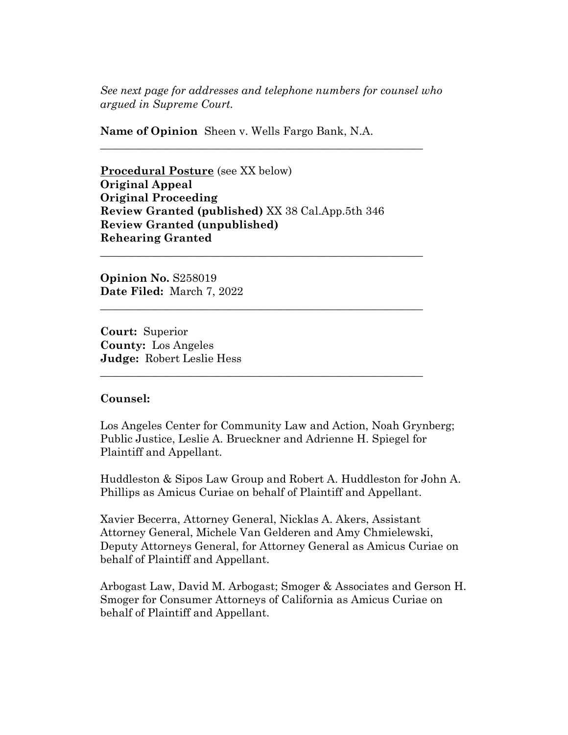*See next page for addresses and telephone numbers for counsel who argued in Supreme Court.*

**\_\_\_\_\_\_\_\_\_\_\_\_\_\_\_\_\_\_\_\_\_\_\_\_\_\_\_\_\_\_\_\_\_\_\_\_\_\_\_\_\_\_\_\_\_\_\_\_\_\_\_\_\_\_\_\_\_\_** 

**\_\_\_\_\_\_\_\_\_\_\_\_\_\_\_\_\_\_\_\_\_\_\_\_\_\_\_\_\_\_\_\_\_\_\_\_\_\_\_\_\_\_\_\_\_\_\_\_\_\_\_\_\_\_\_\_\_\_** 

**\_\_\_\_\_\_\_\_\_\_\_\_\_\_\_\_\_\_\_\_\_\_\_\_\_\_\_\_\_\_\_\_\_\_\_\_\_\_\_\_\_\_\_\_\_\_\_\_\_\_\_\_\_\_\_\_\_\_** 

**\_\_\_\_\_\_\_\_\_\_\_\_\_\_\_\_\_\_\_\_\_\_\_\_\_\_\_\_\_\_\_\_\_\_\_\_\_\_\_\_\_\_\_\_\_\_\_\_\_\_\_\_\_\_\_\_\_\_** 

**Name of Opinion** Sheen v. Wells Fargo Bank, N.A.

**Procedural Posture** (see XX below) **Original Appeal Original Proceeding Review Granted (published)** XX 38 Cal.App.5th 346 **Review Granted (unpublished) Rehearing Granted**

**Opinion No.** S258019 **Date Filed:** March 7, 2022

**Court:** Superior **County:** Los Angeles **Judge:** Robert Leslie Hess

#### **Counsel:**

Los Angeles Center for Community Law and Action, Noah Grynberg; Public Justice, Leslie A. Brueckner and Adrienne H. Spiegel for Plaintiff and Appellant.

Huddleston & Sipos Law Group and Robert A. Huddleston for John A. Phillips as Amicus Curiae on behalf of Plaintiff and Appellant.

Xavier Becerra, Attorney General, Nicklas A. Akers, Assistant Attorney General, Michele Van Gelderen and Amy Chmielewski, Deputy Attorneys General, for Attorney General as Amicus Curiae on behalf of Plaintiff and Appellant.

Arbogast Law, David M. Arbogast; Smoger & Associates and Gerson H. Smoger for Consumer Attorneys of California as Amicus Curiae on behalf of Plaintiff and Appellant.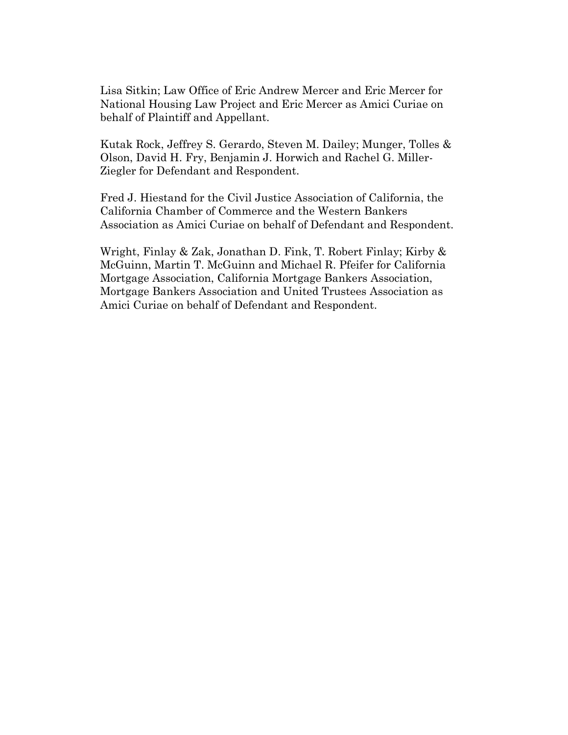Lisa Sitkin; Law Office of Eric Andrew Mercer and Eric Mercer for National Housing Law Project and Eric Mercer as Amici Curiae on behalf of Plaintiff and Appellant.

Kutak Rock, Jeffrey S. Gerardo, Steven M. Dailey; Munger, Tolles & Olson, David H. Fry, Benjamin J. Horwich and Rachel G. Miller-Ziegler for Defendant and Respondent.

Fred J. Hiestand for the Civil Justice Association of California, the California Chamber of Commerce and the Western Bankers Association as Amici Curiae on behalf of Defendant and Respondent.

Wright, Finlay & Zak, Jonathan D. Fink, T. Robert Finlay; Kirby & McGuinn, Martin T. McGuinn and Michael R. Pfeifer for California Mortgage Association, California Mortgage Bankers Association, Mortgage Bankers Association and United Trustees Association as Amici Curiae on behalf of Defendant and Respondent.